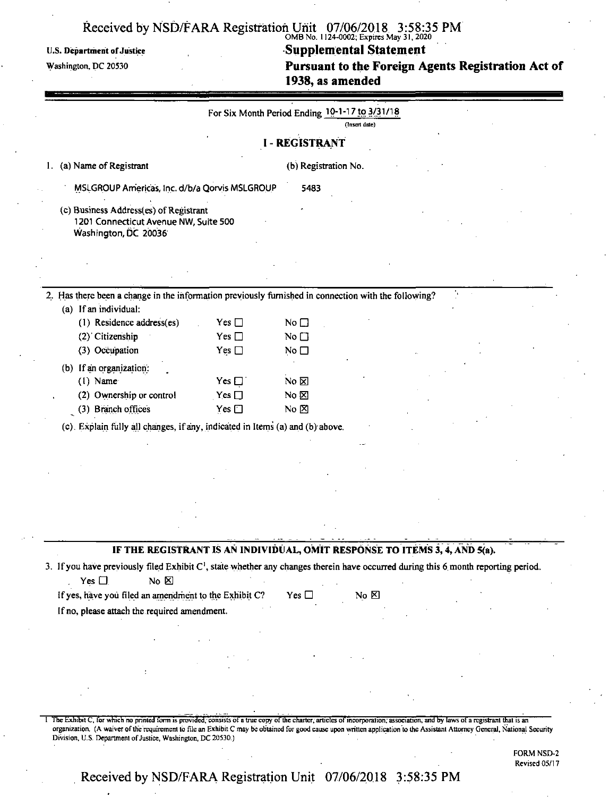#### Received by NSD/FARA Registration Unit 07/06/2018 3:58:35 PM OMB No. 1124-0002; Expires May 31,2020

### U.S. Department of Justice **Supplemental Statement**

Washington, pc <sup>20530</sup> **Pursuant to the Foreign Agents Registration Act of 1938, as amended**

|                                                                                                                                                                              |               | For Six Month Period Ending 10-1-17 to 3/31/18 |                   |  |  |
|------------------------------------------------------------------------------------------------------------------------------------------------------------------------------|---------------|------------------------------------------------|-------------------|--|--|
|                                                                                                                                                                              |               |                                                | (Insert date)     |  |  |
|                                                                                                                                                                              |               | <b>I - REGISTRANT</b>                          |                   |  |  |
| (a) Name of Registrant<br>1.                                                                                                                                                 |               | (b) Registration No.                           |                   |  |  |
| MSLGROUP Americas, Inc. d/b/a Qorvis MSLGROUP                                                                                                                                |               | 5483                                           |                   |  |  |
| (c) Business Address(es) of Registrant<br>1201 Connecticut Avenue NW, Suite 500<br>Washington, DC 20036                                                                      |               |                                                |                   |  |  |
|                                                                                                                                                                              |               |                                                |                   |  |  |
|                                                                                                                                                                              |               |                                                |                   |  |  |
| 2. Has there been a change in the information previously furnished in connection with the following?                                                                         |               |                                                |                   |  |  |
| (a) If an individual:<br>(1) Residence address(es)                                                                                                                           | Yes $\Box$    | No $\square$                                   |                   |  |  |
| (2) Citizenship                                                                                                                                                              | Yes $\square$ | No $\square$                                   |                   |  |  |
| (3) Occupation                                                                                                                                                               | Yes $\square$ | No $\square$                                   |                   |  |  |
| (b) If an organization:                                                                                                                                                      |               |                                                |                   |  |  |
| $(1)$ Name                                                                                                                                                                   | Yes $\square$ | No $\boxtimes$                                 |                   |  |  |
| (2) Ownership or control                                                                                                                                                     | Yes $\square$ | No $\boxtimes$                                 |                   |  |  |
| (3) Branch offices                                                                                                                                                           | Yes $\square$ | No $\Sigma$                                    |                   |  |  |
| (c) Explain fully all changes, if any, indicated in Items (a) and (b) above.                                                                                                 |               |                                                |                   |  |  |
|                                                                                                                                                                              |               |                                                |                   |  |  |
|                                                                                                                                                                              |               |                                                |                   |  |  |
|                                                                                                                                                                              |               |                                                |                   |  |  |
|                                                                                                                                                                              |               |                                                |                   |  |  |
|                                                                                                                                                                              |               |                                                |                   |  |  |
|                                                                                                                                                                              |               |                                                |                   |  |  |
| IF THE REGISTRANT IS AN INDIVIDUAL, OMIT RESPONSE TO ITEMS 3, 4, AND 5(a).                                                                                                   |               |                                                |                   |  |  |
| 3. If you have previously filed Exhibit C <sup>1</sup> , state whether any changes therein have occurred during this 6 month reporting period.<br>No E<br>Yes $\square$      |               |                                                |                   |  |  |
| If yes, have you filed an amendment to the Exhibit C?                                                                                                                        |               | Yes $\square$                                  | $No \, \boxtimes$ |  |  |
| If no, please attach the required amendment.                                                                                                                                 |               |                                                |                   |  |  |
|                                                                                                                                                                              |               |                                                |                   |  |  |
|                                                                                                                                                                              |               |                                                |                   |  |  |
|                                                                                                                                                                              |               |                                                |                   |  |  |
|                                                                                                                                                                              |               |                                                |                   |  |  |
|                                                                                                                                                                              |               |                                                |                   |  |  |
|                                                                                                                                                                              |               |                                                |                   |  |  |
| The Exhibit C, for which no printed form is provided, consists of a true copy of the charter, articles of incorporation, association, and by laws of a registrant that is an |               |                                                |                   |  |  |

organization. (A waiver ofthe requirement to file an Exhibit C may be obtained for good cause upon written application to the Assistant Attorney General, National Security Division, U.S. Department of Justice, Washington, DC 20530.)

> FORM NSD-2 Revised 05/17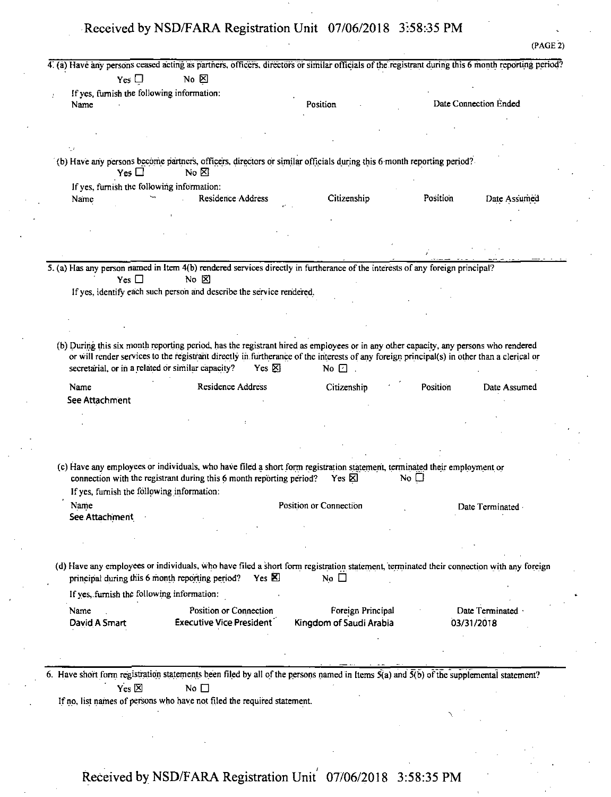4! (a) Have any persons ceased acting as partners, officers, directors or similar officials ofthe registrant during this 6 month reporting period?  $Yes \Box$  No  $\boxtimes$ If yes, furnish the following information: Name and Date Connection Ended Position 2012 Position 2012 Date Connection Ended (PAGE 2) (b) Have any persons become partners, officers, directors or similar officials during this 6 month reporting period?<br>Yes  $\Box$  No  $\boxtimes$ Ifyes, furnish the following information: Name **Residence Address** Citizenship Position Date Assumed 5. (a) Has any person named in Item 4(b) rendered services directly in furtherance of the interests of any foreign principal?<br>Yes  $\Box$  No  $\boxtimes$ If yes, identify each such person and describe the service rendered. (b) During this six month reporting period, has the registrant hired as employees or in any other capacity, any persons who rendered or will render services to the registrant directly in furtherance ofthe interests of any foreign principal(s) in other than a clerical or secretarial, or in a related or similar capacity? Yes  $\boxtimes$  No  $\boxdot$ . Name Residence Address Citizenship ' Position Date Assumed See Attachment (c) Have any employees or individuals, who have filed a short form registration statement, terminated their employment or connection with the registrant during this 6 month reporting period? Yes  $\boxtimes$  No  $\Box$ If yes, furnish the following information: Name **Position or Connection** Date Terminated See Attachment (d) Have any employees or individuals, who have filed a short form registration statement, terminated their connection with any foreign principal during this 6 month reporting period? Yes  $\boxtimes$  No  $\Box$ If yes, furnish the following information: Name Results and Position or Connection Foreign Principal Date Terminated **Position** Position or Connection DayidASmart Executive Vice President' Kingdom of Saudi Arabia 03/31/2018 6. Have short form registration statements been filed by all of the persons named in Items  $\tilde{S}(a)$  and  $\tilde{S}(b)$  of the supplemental statement?  $Yes \boxtimes$  No  $\Box$ If no, list names of persons who have not filed the required statement.  $\overline{\phantom{a}}$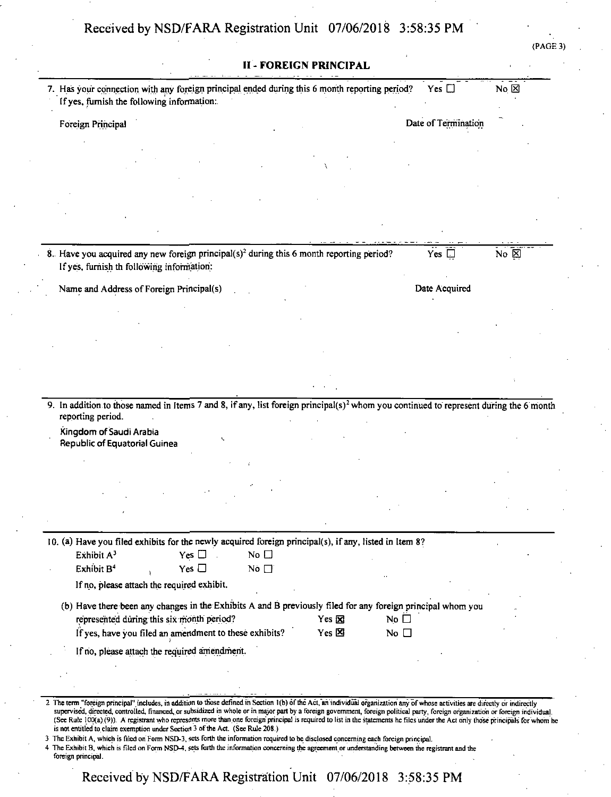| PAGE. | J.<br>- 1 |
|-------|-----------|
|       |           |

| <b>II - FOREIGN PRINCIPAL</b>                                                                                                                                                                                                                                                                                                                                          |                                                       |                     |                 |
|------------------------------------------------------------------------------------------------------------------------------------------------------------------------------------------------------------------------------------------------------------------------------------------------------------------------------------------------------------------------|-------------------------------------------------------|---------------------|-----------------|
| 7. Has your connection with any foreign principal ended during this 6 month reporting period?<br>If yes, furnish the following information:                                                                                                                                                                                                                            |                                                       | Yes $\square$       | $No \times$     |
| Foreign Principal                                                                                                                                                                                                                                                                                                                                                      |                                                       | Date of Termination |                 |
|                                                                                                                                                                                                                                                                                                                                                                        |                                                       |                     |                 |
|                                                                                                                                                                                                                                                                                                                                                                        |                                                       |                     |                 |
|                                                                                                                                                                                                                                                                                                                                                                        |                                                       |                     |                 |
|                                                                                                                                                                                                                                                                                                                                                                        |                                                       |                     |                 |
|                                                                                                                                                                                                                                                                                                                                                                        |                                                       |                     |                 |
|                                                                                                                                                                                                                                                                                                                                                                        |                                                       |                     |                 |
| 8. Have you acquired any new foreign principal( $s$ ) <sup>2</sup> during this 6 month reporting period?<br>If yes, furnish th following information:                                                                                                                                                                                                                  |                                                       | Yes $\square$       | $No \nsubseteq$ |
| Name and Address of Foreign Principal(s)                                                                                                                                                                                                                                                                                                                               |                                                       | Date Acquired       |                 |
|                                                                                                                                                                                                                                                                                                                                                                        |                                                       |                     |                 |
|                                                                                                                                                                                                                                                                                                                                                                        |                                                       |                     |                 |
|                                                                                                                                                                                                                                                                                                                                                                        |                                                       |                     |                 |
|                                                                                                                                                                                                                                                                                                                                                                        |                                                       |                     |                 |
|                                                                                                                                                                                                                                                                                                                                                                        |                                                       |                     |                 |
| 9. In addition to those named in Items 7 and 8, if any, list foreign principal(s) <sup>2</sup> whom you continued to represent during the 6 month                                                                                                                                                                                                                      |                                                       |                     |                 |
| reporting period.                                                                                                                                                                                                                                                                                                                                                      |                                                       |                     |                 |
| Kingdom of Saudi Arabia<br><b>Republic of Equatorial Guinea</b>                                                                                                                                                                                                                                                                                                        |                                                       |                     |                 |
|                                                                                                                                                                                                                                                                                                                                                                        |                                                       |                     |                 |
|                                                                                                                                                                                                                                                                                                                                                                        |                                                       |                     |                 |
|                                                                                                                                                                                                                                                                                                                                                                        |                                                       |                     |                 |
|                                                                                                                                                                                                                                                                                                                                                                        |                                                       |                     |                 |
| 10. (a) Have you filed exhibits for the newly acquired foreign principal(s), if any, listed in Item 8?                                                                                                                                                                                                                                                                 |                                                       |                     |                 |
| Exhibit A <sup>3</sup><br>No $\square$<br>$Yes \Box$                                                                                                                                                                                                                                                                                                                   |                                                       |                     |                 |
| Exhibit B <sup>4</sup><br>Yes $\Box$<br>No $\Box$                                                                                                                                                                                                                                                                                                                      |                                                       |                     |                 |
| If no, please attach the required exhibit.                                                                                                                                                                                                                                                                                                                             |                                                       |                     |                 |
| (b) Have there been any changes in the Exhibits A and B previously filed for any foreign principal whom you                                                                                                                                                                                                                                                            |                                                       |                     |                 |
| represented during this six month period?<br>If yes, have you filed an amendment to these exhibits?                                                                                                                                                                                                                                                                    | Yes $\boxtimes$<br>No $\Box$<br>Yes 図<br>No $\square$ |                     |                 |
| If no, please attach the required amendment.                                                                                                                                                                                                                                                                                                                           |                                                       |                     |                 |
|                                                                                                                                                                                                                                                                                                                                                                        |                                                       |                     |                 |
|                                                                                                                                                                                                                                                                                                                                                                        |                                                       |                     |                 |
| 2 The term "foreign principal" includes, in addition to those defined in Section 1(b) of the Act, an individual organization any of whose activities are directly or indirectly                                                                                                                                                                                        |                                                       |                     |                 |
| supervised, directed, controlled, financed, or subsidized in whole or in major part by a foreign government, foreign political party, foreign organization or foreign individual.<br>(See Rule 100(a) (9)). A registrant who represents more than one foreign principal is required to list in the statements he files under the Act only those principals for whom he |                                                       |                     |                 |
| is not entitled to claim exemption under Section 3 of the Act. (See Rule 208.)<br>3 The Exhibit A, which is filed on Form NSD-3, sets forth the information required to be disclosed concerning each foreign principal.                                                                                                                                                |                                                       |                     |                 |
| 4 The Exhibit B, which is filed on Form NSD-4, sets forth the information concerning the agreement or understanding between the registrant and the<br>foreign principal.                                                                                                                                                                                               |                                                       |                     |                 |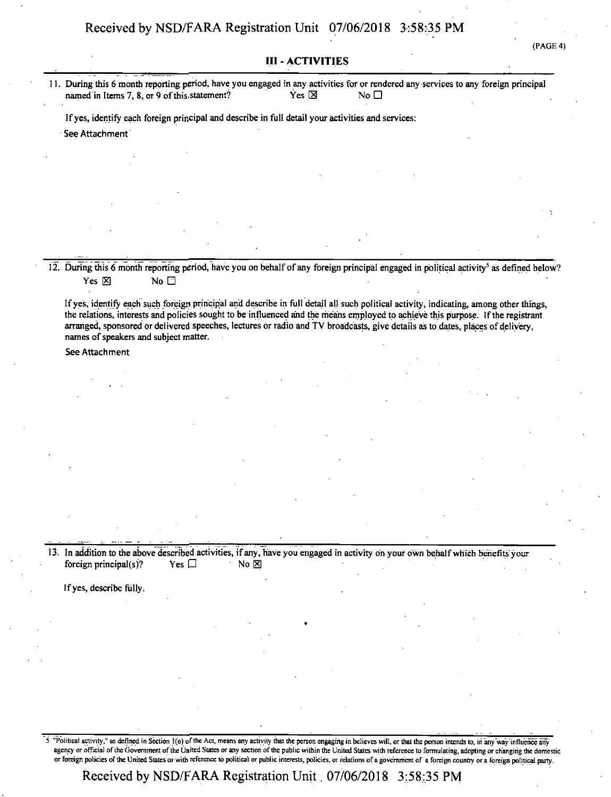(PAGE 4)

#### **III-ACTIVITIES**

11. During this 6 month reporting period, have you engaged in any activities for or rendered any services to any foreign principal named in Items 7, 8, or 9 of this statement? Yes  $\boxtimes$  Yes  $\boxtimes$  No  $\Box$ 

Ifyes, identify each foreign principal and describe in full detail your activities and services:

See Attachment

12. During this 6 month reporting period, have you on behalf of any foreign principal engaged in political activity<sup>5</sup> as defined below? Yes  $\boxtimes$  No  $\Box$ 

Ifyes, identify each such foreign principal and describe in full detail all such political activity, indicating, among other things, the relations, interests and policies sought to be influenced and the means employed to achieve this purpose. If the registrant arranged, sponsored or delivered speeches, lectures or radio and TV broadcasts, give details as to dates, places of delivery, names of speakers and subject matter.

See Attachment

13. In addition to the above described activities, if any, have you engaged in activity on your own behalf which benefits your foreign principal(s)? Yes  $\Box$  No  $\boxtimes$ 

If yes, describe fully.

5 "Political activity," as defined in Section 1(o) of the Act, means any activity that the person engaging in believes will, or that the person intends to, in any way influence any agency or official of the Government of the United States or any section of the public within the United States with reference to formulating, adopting or changing the domestic or Foreign policies of the United States or with reference to political or public interests, policies, or relations ofa government of a foreign country or a foreign political party.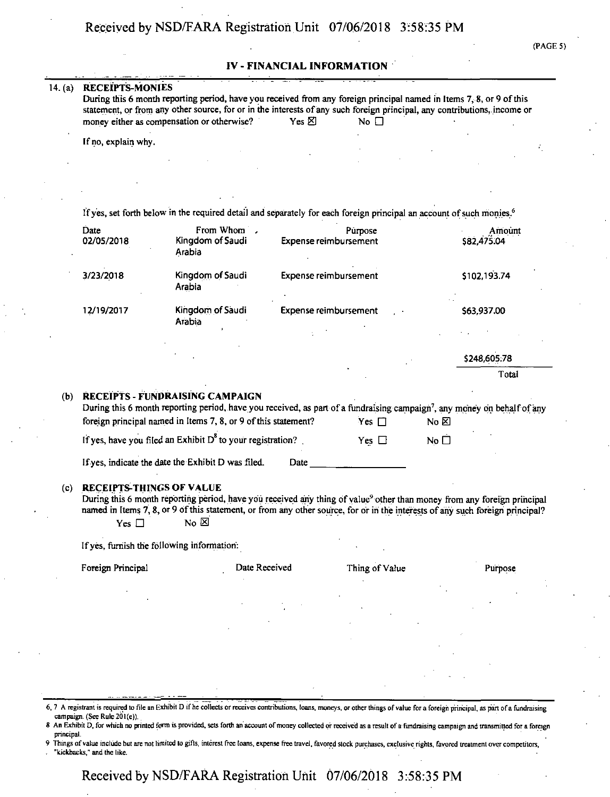#### **IV - FINANCIAL INFORMATION**

#### 14. (a) RECEIPTS-MONIES

| During this 6 month reporting period, have you received from any foreign principal named in Items 7, 8, or 9 of this     |                                |                         |  |
|--------------------------------------------------------------------------------------------------------------------------|--------------------------------|-------------------------|--|
| statement, or from any other source, for or in the interests of any such foreign principal, any contributions, income or |                                |                         |  |
| money either as compensation or otherwise?                                                                               | $Yes \nbox{\n\triangleright }$ | $\overline{N}$ o $\Box$ |  |

If no, explain why.

| Date              | From Whom .                                                                                                                                                                                                                                                                                                                                                                                                                    |                              | Purpose                      |              | Amount       |
|-------------------|--------------------------------------------------------------------------------------------------------------------------------------------------------------------------------------------------------------------------------------------------------------------------------------------------------------------------------------------------------------------------------------------------------------------------------|------------------------------|------------------------------|--------------|--------------|
| 02/05/2018        | Kingdom of Saudi<br>Arabia                                                                                                                                                                                                                                                                                                                                                                                                     |                              | <b>Expense reimbursement</b> |              | \$82,475.04  |
| 3/23/2018         | Kingdom of Saudi<br>Arabia                                                                                                                                                                                                                                                                                                                                                                                                     |                              | Expense reimbursement        |              | \$102,193.74 |
| 12/19/2017        | Kingdom of Saudi<br>Arabia                                                                                                                                                                                                                                                                                                                                                                                                     | <b>Expense reimbursement</b> |                              |              | \$63,937.00  |
|                   |                                                                                                                                                                                                                                                                                                                                                                                                                                |                              |                              |              |              |
|                   |                                                                                                                                                                                                                                                                                                                                                                                                                                |                              |                              |              | \$248,605.78 |
|                   |                                                                                                                                                                                                                                                                                                                                                                                                                                |                              |                              |              | Total        |
|                   | foreign principal named in Items 7, 8, or 9 of this statement?                                                                                                                                                                                                                                                                                                                                                                 |                              | Yes $\Box$                   | No ⊠         |              |
|                   | If yes, have you filed an Exhibit $D^8$ to your registration?<br>If yes, indicate the date the Exhibit D was filed.<br><b>RECEIPTS-THINGS OF VALUE</b><br>During this 6 month reporting period, have you received any thing of value <sup>9</sup> other than money from any foreign principal<br>named in Items 7, 8, or 9 of this statement, or from any other source, for or in the interests of any such foreign principal? | Date                         | Yes $\Box$                   | No $\square$ |              |
| Yes $\square$     | No $\boxtimes$                                                                                                                                                                                                                                                                                                                                                                                                                 |                              |                              |              |              |
|                   | If yes, furnish the following information:                                                                                                                                                                                                                                                                                                                                                                                     |                              |                              |              |              |
| Foreign Principal |                                                                                                                                                                                                                                                                                                                                                                                                                                | Date Received                | Thing of Value               |              | Purpose      |
|                   |                                                                                                                                                                                                                                                                                                                                                                                                                                |                              |                              |              |              |
|                   |                                                                                                                                                                                                                                                                                                                                                                                                                                |                              |                              |              |              |
|                   |                                                                                                                                                                                                                                                                                                                                                                                                                                |                              |                              |              |              |
|                   |                                                                                                                                                                                                                                                                                                                                                                                                                                |                              |                              |              |              |

6, 7 A registrant is required to file an Exhibit D if he collects or receives contributions, loans, moneys, or other things of value fora foreign principal, as part ofa fundraising campaign. (See Rule 201(e)).

- 8 An Exhibit D, for which no printed form is provided, sets forth an account of money collected or received as a result of a fundraising campaign and transmitted for a foreign principal.
- 9 Things ofvalue include but are not limited to gifts, interest free loans, expense free travel, favored stock purchases, exclusive rights, favored treatment over competitors,
- . "kickbacks," and the like.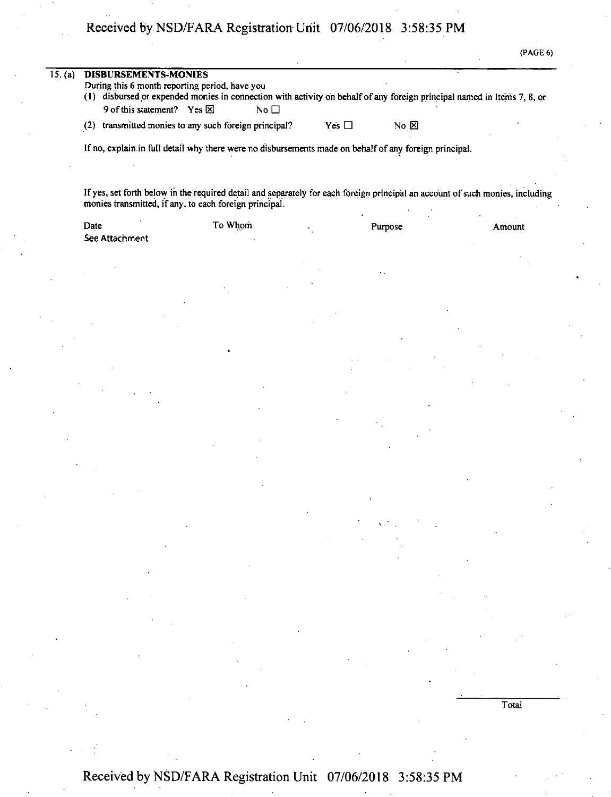| PAGE<br>ſ | π |  |
|-----------|---|--|
|           |   |  |

| During this 6 month reporting period, have you<br>(1) disbursed or expended monies in connection with activity on behalf of any foreign principal named in Items 7, 8, or<br>9 of this statement? Yes 区<br>No $\Box$<br>transmitted monies to any such foreign principal?<br>(2)<br>Yes $\Box$<br>No $\Sigma$<br>If no, explain in full detail why there were no disbursements made on behalf of any foreign principal.<br>If yes, set forth below in the required detail and separately for each foreign principal an account of such monies, including<br>monies transmitted, if any, to each foreign principal.<br>To Whom<br>Date<br>Purpose<br>Amount<br>See Attachment | 15. (a) | <b>DISBURSEMENTS-MONIES</b> |  |  |
|------------------------------------------------------------------------------------------------------------------------------------------------------------------------------------------------------------------------------------------------------------------------------------------------------------------------------------------------------------------------------------------------------------------------------------------------------------------------------------------------------------------------------------------------------------------------------------------------------------------------------------------------------------------------------|---------|-----------------------------|--|--|
|                                                                                                                                                                                                                                                                                                                                                                                                                                                                                                                                                                                                                                                                              |         |                             |  |  |
|                                                                                                                                                                                                                                                                                                                                                                                                                                                                                                                                                                                                                                                                              |         |                             |  |  |
|                                                                                                                                                                                                                                                                                                                                                                                                                                                                                                                                                                                                                                                                              |         |                             |  |  |
|                                                                                                                                                                                                                                                                                                                                                                                                                                                                                                                                                                                                                                                                              |         |                             |  |  |
|                                                                                                                                                                                                                                                                                                                                                                                                                                                                                                                                                                                                                                                                              |         |                             |  |  |
|                                                                                                                                                                                                                                                                                                                                                                                                                                                                                                                                                                                                                                                                              |         |                             |  |  |
|                                                                                                                                                                                                                                                                                                                                                                                                                                                                                                                                                                                                                                                                              |         |                             |  |  |
|                                                                                                                                                                                                                                                                                                                                                                                                                                                                                                                                                                                                                                                                              |         |                             |  |  |
|                                                                                                                                                                                                                                                                                                                                                                                                                                                                                                                                                                                                                                                                              |         |                             |  |  |
|                                                                                                                                                                                                                                                                                                                                                                                                                                                                                                                                                                                                                                                                              |         |                             |  |  |
|                                                                                                                                                                                                                                                                                                                                                                                                                                                                                                                                                                                                                                                                              |         |                             |  |  |
|                                                                                                                                                                                                                                                                                                                                                                                                                                                                                                                                                                                                                                                                              |         |                             |  |  |
|                                                                                                                                                                                                                                                                                                                                                                                                                                                                                                                                                                                                                                                                              |         |                             |  |  |
|                                                                                                                                                                                                                                                                                                                                                                                                                                                                                                                                                                                                                                                                              |         |                             |  |  |
|                                                                                                                                                                                                                                                                                                                                                                                                                                                                                                                                                                                                                                                                              |         |                             |  |  |
|                                                                                                                                                                                                                                                                                                                                                                                                                                                                                                                                                                                                                                                                              |         |                             |  |  |
|                                                                                                                                                                                                                                                                                                                                                                                                                                                                                                                                                                                                                                                                              |         |                             |  |  |
|                                                                                                                                                                                                                                                                                                                                                                                                                                                                                                                                                                                                                                                                              |         |                             |  |  |
|                                                                                                                                                                                                                                                                                                                                                                                                                                                                                                                                                                                                                                                                              |         |                             |  |  |
|                                                                                                                                                                                                                                                                                                                                                                                                                                                                                                                                                                                                                                                                              |         |                             |  |  |
|                                                                                                                                                                                                                                                                                                                                                                                                                                                                                                                                                                                                                                                                              |         |                             |  |  |
|                                                                                                                                                                                                                                                                                                                                                                                                                                                                                                                                                                                                                                                                              |         |                             |  |  |
|                                                                                                                                                                                                                                                                                                                                                                                                                                                                                                                                                                                                                                                                              |         |                             |  |  |
|                                                                                                                                                                                                                                                                                                                                                                                                                                                                                                                                                                                                                                                                              |         |                             |  |  |

## Received by NSD/FARA Registration Unit 07/06/2018 3:58:35 PM

Total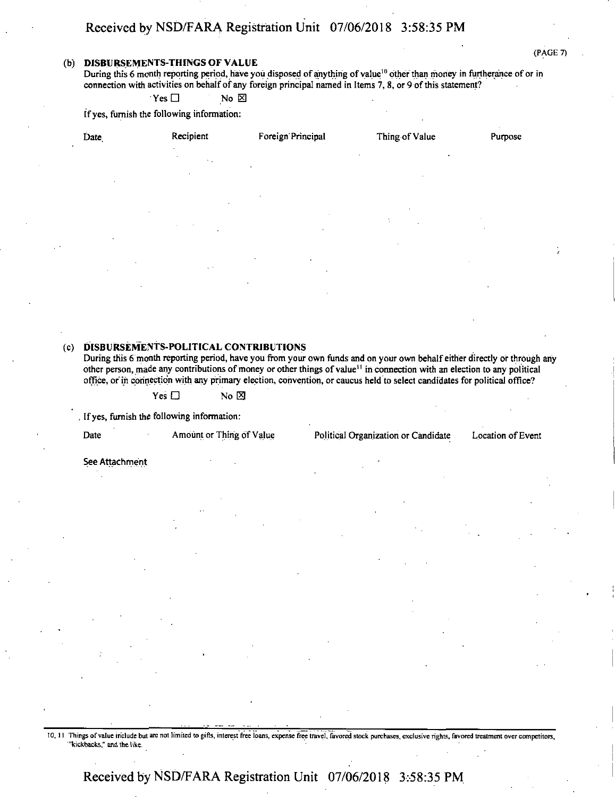#### **(b) DISBURSEMENTS-THINGS of value**

During this 6 month reporting period, have you disposed of anything of value<sup>10</sup> other than money in furtherance of or in connection with activities on behalf of any foreign principal named in Items 7, 8, or 9 of this statement?

 $Y$ es  $\Box$  No  $\boxtimes$ 

If yes, furnish the following information:

| Date                | Recipient<br>$\sim$                              | Foreign Principal         | Thing of Value | Purpose                  |
|---------------------|--------------------------------------------------|---------------------------|----------------|--------------------------|
|                     | $\epsilon$<br>$\sim$ $\sim$<br>٠<br>$\mathbf{r}$ | $\mathbf{A}$ .            | $\bullet$      |                          |
| ٠                   |                                                  | $\cdot$                   | $\bullet$      |                          |
|                     | $\bullet$                                        |                           | ÷              |                          |
| $\bullet$           | $\cdot$                                          | $\bullet$                 | $\cdot$        | $\overline{\phantom{a}}$ |
| $\lambda$<br>$\sim$ | $\sim$                                           | $\cdot$<br>$\bullet$<br>٠ |                |                          |
| $\cdot$             | $\sim$                                           | $\mathbf{r}$              |                | $\cdot$                  |
|                     |                                                  |                           |                |                          |

#### **(c) DISBURSEMENTS-POLITICAL CONTRIBUTIONS**

During this 6 month reporting period, have you from your own funds and on your own behalf either directly or through any other person, made any contributions of money or other things of value<sup>11</sup> in connection with an election to any political office, or in connection with any primary election, convention, or caucus held to select candidates for political office?

 $Yes \Box$  No  $\boxtimes$ 

If yes, furnish the following information:

| Date | Amount or Thing of Value | Political Organization or Candidate | Location of Event |
|------|--------------------------|-------------------------------------|-------------------|
|      |                          |                                     |                   |

See Attachment

10, II Things ofvalue include but are not limited to gifts, interest free loans, expense free travel, favored stock purchases, exclusive rights, favored treatment over competitors, "kickbacks," and the like.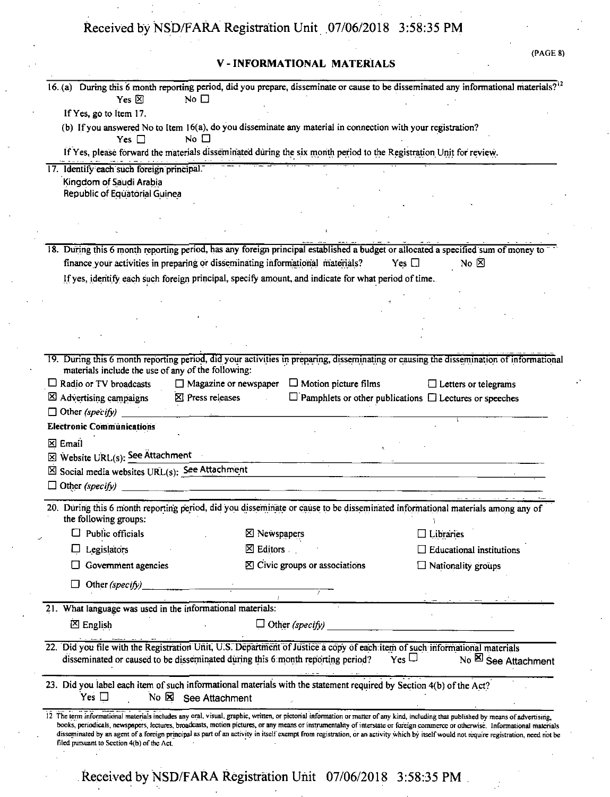### **V - INFORMATIONAL MATERIALS**

{PAGE 8)

| No $\square$<br>$Yes \boxtimes$                                                                                                                                                                                                  |                                                                                                                       | 16.(a) During this 6 month reporting period, did you prepare, disseminate or cause to be disseminated any informational materials? <sup>12</sup>                                                                                                                                                                                                                        |
|----------------------------------------------------------------------------------------------------------------------------------------------------------------------------------------------------------------------------------|-----------------------------------------------------------------------------------------------------------------------|-------------------------------------------------------------------------------------------------------------------------------------------------------------------------------------------------------------------------------------------------------------------------------------------------------------------------------------------------------------------------|
| If Yes, go to Item 17.                                                                                                                                                                                                           |                                                                                                                       |                                                                                                                                                                                                                                                                                                                                                                         |
| No $\square$<br>Yes $\Box$                                                                                                                                                                                                       | (b) If you answered No to Item 16(a), do you disseminate any material in connection with your registration?           |                                                                                                                                                                                                                                                                                                                                                                         |
|                                                                                                                                                                                                                                  | If Yes, please forward the materials disseminated during the six month period to the Registration Unit for review.    |                                                                                                                                                                                                                                                                                                                                                                         |
| 17. Identify each such foreign principal.                                                                                                                                                                                        |                                                                                                                       |                                                                                                                                                                                                                                                                                                                                                                         |
| Kingdom of Saudi Arabia                                                                                                                                                                                                          |                                                                                                                       |                                                                                                                                                                                                                                                                                                                                                                         |
| Republic of Equatorial Guinea                                                                                                                                                                                                    |                                                                                                                       |                                                                                                                                                                                                                                                                                                                                                                         |
|                                                                                                                                                                                                                                  |                                                                                                                       |                                                                                                                                                                                                                                                                                                                                                                         |
|                                                                                                                                                                                                                                  |                                                                                                                       |                                                                                                                                                                                                                                                                                                                                                                         |
| 18. During this 6 month reporting period, has any foreign principal established a budget or allocated a specified sum of money to                                                                                                |                                                                                                                       |                                                                                                                                                                                                                                                                                                                                                                         |
| finance your activities in preparing or disseminating informational materials?                                                                                                                                                   |                                                                                                                       | No $\boxtimes$<br>Yes $\square$                                                                                                                                                                                                                                                                                                                                         |
|                                                                                                                                                                                                                                  | If yes, identify each such foreign principal, specify amount, and indicate for what period of time.                   |                                                                                                                                                                                                                                                                                                                                                                         |
|                                                                                                                                                                                                                                  |                                                                                                                       |                                                                                                                                                                                                                                                                                                                                                                         |
|                                                                                                                                                                                                                                  |                                                                                                                       |                                                                                                                                                                                                                                                                                                                                                                         |
|                                                                                                                                                                                                                                  |                                                                                                                       |                                                                                                                                                                                                                                                                                                                                                                         |
|                                                                                                                                                                                                                                  |                                                                                                                       |                                                                                                                                                                                                                                                                                                                                                                         |
|                                                                                                                                                                                                                                  |                                                                                                                       | 19. During this 6 month reporting period, did your activities in preparing, disseminating or causing the dissemination of informational                                                                                                                                                                                                                                 |
| materials include the use of any of the following:                                                                                                                                                                               |                                                                                                                       |                                                                                                                                                                                                                                                                                                                                                                         |
| $\Box$ Radio or TV broadcasts                                                                                                                                                                                                    | $\Box$ Magazine or newspaper<br>$\Box$ Motion picture films                                                           | $\Box$ Letters or telegrams                                                                                                                                                                                                                                                                                                                                             |
| $\Sigma$ Press releases<br>$\boxtimes$ Advertising campaigns                                                                                                                                                                     |                                                                                                                       | $\Box$ Pamphlets or other publications $\Box$ Lectures or speeches                                                                                                                                                                                                                                                                                                      |
| $\Box$ Other (specify)                                                                                                                                                                                                           |                                                                                                                       |                                                                                                                                                                                                                                                                                                                                                                         |
| <b>Electronic Communications</b>                                                                                                                                                                                                 |                                                                                                                       |                                                                                                                                                                                                                                                                                                                                                                         |
| $\Sigma$ Email                                                                                                                                                                                                                   |                                                                                                                       |                                                                                                                                                                                                                                                                                                                                                                         |
| $\boxtimes$ Website URL(s): See Attachment                                                                                                                                                                                       |                                                                                                                       |                                                                                                                                                                                                                                                                                                                                                                         |
| ⊠ Social media websites URL(s): See Attachment                                                                                                                                                                                   |                                                                                                                       |                                                                                                                                                                                                                                                                                                                                                                         |
| $\Box$ Other (specify)                                                                                                                                                                                                           | <u> 1980 - Johann Harry Harry Harry Harry Harry Harry Harry Harry Harry Harry Harry Harry Harry Harry Harry Harry</u> |                                                                                                                                                                                                                                                                                                                                                                         |
| 20. During this 6 month reporting period, did you disseminate or cause to be disseminated informational materials among any of<br>the following groups:                                                                          |                                                                                                                       |                                                                                                                                                                                                                                                                                                                                                                         |
| Public officials                                                                                                                                                                                                                 | ⊠ Newspapers                                                                                                          | $\square$ Libraries                                                                                                                                                                                                                                                                                                                                                     |
| Legislators                                                                                                                                                                                                                      | $\boxtimes$ Editors                                                                                                   | $\Box$ Educational institutions                                                                                                                                                                                                                                                                                                                                         |
| Government agencies                                                                                                                                                                                                              | $\boxtimes$ Civic groups or associations                                                                              | $\Box$ Nationality groups                                                                                                                                                                                                                                                                                                                                               |
|                                                                                                                                                                                                                                  |                                                                                                                       |                                                                                                                                                                                                                                                                                                                                                                         |
| Other (specify)                                                                                                                                                                                                                  |                                                                                                                       |                                                                                                                                                                                                                                                                                                                                                                         |
| 21. What language was used in the informational materials:                                                                                                                                                                       |                                                                                                                       |                                                                                                                                                                                                                                                                                                                                                                         |
| $\boxtimes$ English                                                                                                                                                                                                              | $\Box$ Other (specify)                                                                                                |                                                                                                                                                                                                                                                                                                                                                                         |
| 22. Did you file with the Registration Unit, U.S. Department of Justice a copy of each item of such informational materials                                                                                                      |                                                                                                                       |                                                                                                                                                                                                                                                                                                                                                                         |
| disseminated or caused to be disseminated during this 6 month reporting period?                                                                                                                                                  |                                                                                                                       | $Yes \Box$<br>No & See Attachment                                                                                                                                                                                                                                                                                                                                       |
| 23. Did you label each item of such informational materials with the statement required by Section 4(b) of the Act?<br>Yes $\square$<br>No XI See Attachment                                                                     |                                                                                                                       |                                                                                                                                                                                                                                                                                                                                                                         |
| 12 The term informational materials includes any oral, visual, graphic, written, or pictorial information or matter of any kind, including that published by means of advertising,<br>filed pursuant to Section 4(b) of the Act. |                                                                                                                       | books, periodicals, newspapers, lectures, broadcasts, motion pictures, or any means or instrumentality of interstate or foreign commerce or otherwise. Informational materials<br>disseminated by an agent of a foreign principal as part of an activity in itself exempt from registration, or an activity which by itself would not require registration, need not be |
|                                                                                                                                                                                                                                  | Received by NSD/FARA Registration Unit 07/06/2018 3:58:35 PM                                                          |                                                                                                                                                                                                                                                                                                                                                                         |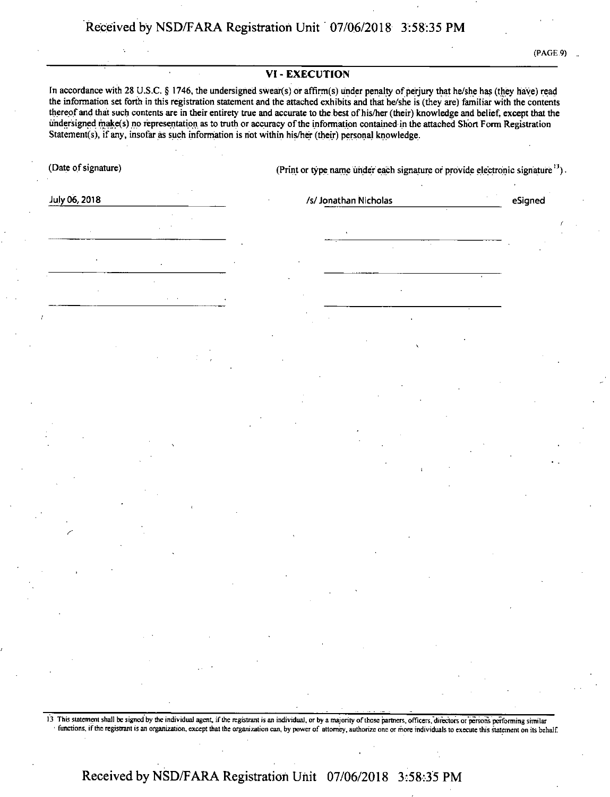(PAGE .9)

*!*

eSigned

#### **VI-EXECUTION**

In accordance with 28 U.S.C. § 1746, the undersigned swear(s) or affirm(s) under penalty of perjury that he/she has (they have) read the information set forth in this registration statement and the attached exhibits and that he/she is (they are) familiar with the contents thereof and that such contents are in their entirety true and accurate to the best of his/her (their) knowledge and belief, except that the undersigned make(s) no representation as to truth or accuracy ofthe information contained in the attached Short Form Registration Statement(s), if any, insofar as such information is not within his/her (their) personal knowledge.

(Date of signature) (Print or type name under each signature or provide electronic signature <sup>13</sup>)

July 06,2018\_\_\_\_\_\_\_\_\_\_\_\_\_\_\_\_\_\_\_\_\_\_\_\_\_\_\_ /s/Jonathan NicholaseSigned

*S'*

13 This statement shall be signed by the individual agent, if the registrant is an individual, or by a majority of those partners, officers, directors or persons performing similar functions, if the registrant is an organization, except that the organization can, by power of attorney, authorize one or more individuals to execute this statement on its behalf.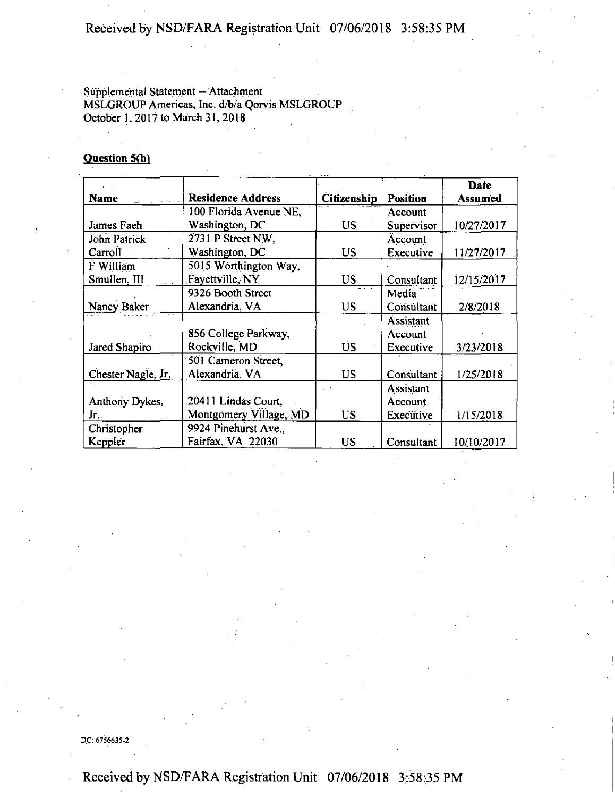### Supplemental Statement -- Attachment MSLGROUP Americas, Inc. d/b/a Qorvis MSLGROUP October 1, 2017 to March 31, 2018

### **Question 5(b)**

|                    |                          |             |                 | Date           |
|--------------------|--------------------------|-------------|-----------------|----------------|
| <b>Name</b>        | <b>Residence Address</b> | Citizenship | <b>Position</b> | <b>Assumed</b> |
|                    | 100 Florida Avenue NE,   |             | Account         |                |
| James Faeh         | Washington, DC           | <b>US</b>   | Supervisor      | 10/27/2017     |
| John Patrick       | 2731 P Street N.W.       |             | Account         |                |
| Carroll            | Washington, DC           | US          | Executive       | 11/27/2017     |
| F William          | 5015 Worthington Way,    |             |                 |                |
| Smullen, III       | Favettville, NY          | <b>US</b>   | Consultant      | 12/15/2017     |
|                    | 9326 Booth Street        |             | Media           |                |
| Nancy Baker        | Alexandria, VA           | <b>US</b>   | Consultant      | 2/8/2018       |
|                    |                          |             | Assistant       |                |
|                    | 856 College Parkway,     |             | Account         |                |
| Jared Shapiro      | Rockville, MD            | <b>US</b>   | Executive       | 3/23/2018      |
|                    | 501 Cameron Street,      |             |                 |                |
| Chester Nagle, Jr. | Alexandria, VA           | <b>US</b>   | Consultant      | 1/25/2018      |
|                    |                          |             | Assistant       |                |
| Anthony Dykes,     | 20411 Lindas Court,      |             | Account         |                |
| Jr.                | Montgomery Village, MD   | <b>US</b>   | Executive       | 1/15/2018      |
| Christopher        | 9924 Pinehurst Ave       |             |                 |                |
| Keppler            | Fairfax, VA 22030        | <b>US</b>   | Consultant      | 10/10/2017     |

DC: 6756635-2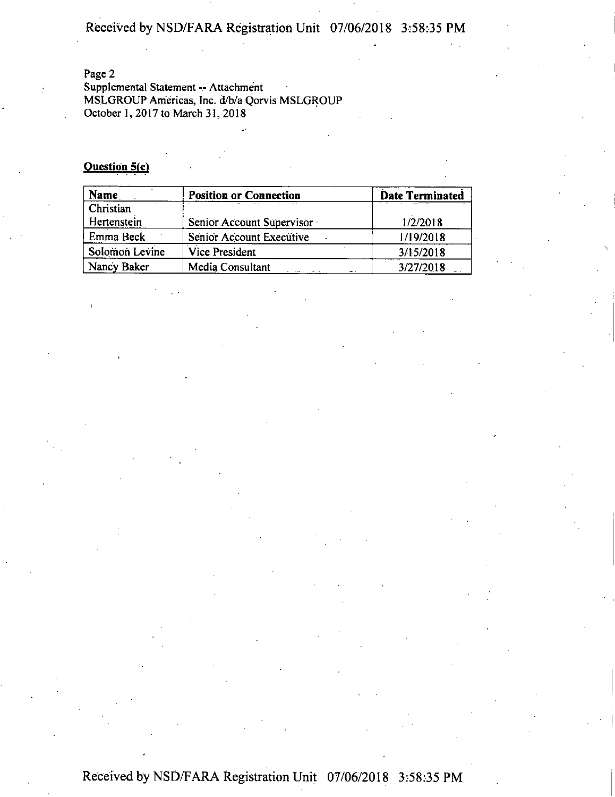Page 2

Supplemental Statement -- Attachment MSLGROUP Americas, Inc. d/b/a Qorvis MSLGROUP October 1, 2017 to March 31, 2018

#### **Question 5(c)**

| Name           | <b>Position or Connection</b> | <b>Date Terminated</b> |
|----------------|-------------------------------|------------------------|
| Christian      |                               |                        |
| Hertenstein    | Senior Account Supervisor     | 1/2/2018               |
| Emma Beck      | Senior Account Executive      | 1/19/2018              |
| Solomon Levine | <b>Vice President</b>         | 3/15/2018              |
| Nancy Baker    | Media Consultant              | 3/27/2018              |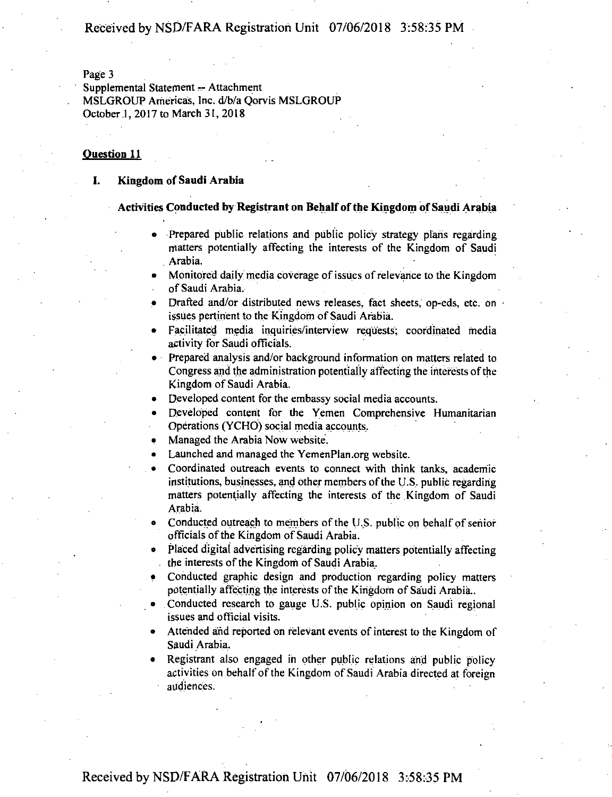Page 3

Supplemental Statement — Attachment MSLGROUP Americas, Inc. d/b/a Qorvis MSLGROUP October,!, 2017to March 31, 2018

#### **Question 11**

#### **I. Kingdom of Saudi Arabia**

#### **Activities Conducted by Registrant on Behalfofthe Kingdom ofSaudi Arabia**

- Prepared public relations and public policy strategy plans regarding matters potentially affecting the interests of the Kingdom of Saudi . Arabia.
- Monitored daily media coverage of issues of relevance to the Kingdom of Saudi Arabia.
- Drafted and/or distributed news releases, fact sheets, op-eds, etc. on issues pertinent to the Kingdom of Saudi Arabia.
- Facilitated media inquiries/interview requests; coordinated media activity for Saudi officials.
- Prepared analysis and/or background information on matters related to Congress and the administration potentially affecting the interests ofthe Kingdom of Saudi Arabia.
- Developed content for the embassy social media accounts.
- Developed content for the Yemen Comprehensive Humanitarian Operations (YCHO) social media accounts.
- Managed the Arabia Now website.
- Launched and managed the YemenPlan.org website.
- Coordinated outreach events to connect with think tanks, academic institutions, businesses, and other members of the U.S. public regarding matters potentially affecting the interests of the Kingdom of Saudi Arabia.
- Conducted outreach to members of the U.S. public on behalf of senior officials of the Kingdom of Saudi Arabia.
- Placed digital advertising regarding policy matters potentially affecting the interests of the Kingdom of Saudi Arabia.
- Conducted graphic design and production regarding policy matters potentially affecting the interests of the Kingdom of Saudi Arabia..
- Conducted research to gauge U.S. public opinion on Saudi regional issues and official visits.
- Attended and reported on relevant events of interest to the Kingdom of Saudi Arabia.
- Registrant also engaged in other public relations and public policy activities on behalf of the Kingdom of Saudi Arabia directed at foreign audiences.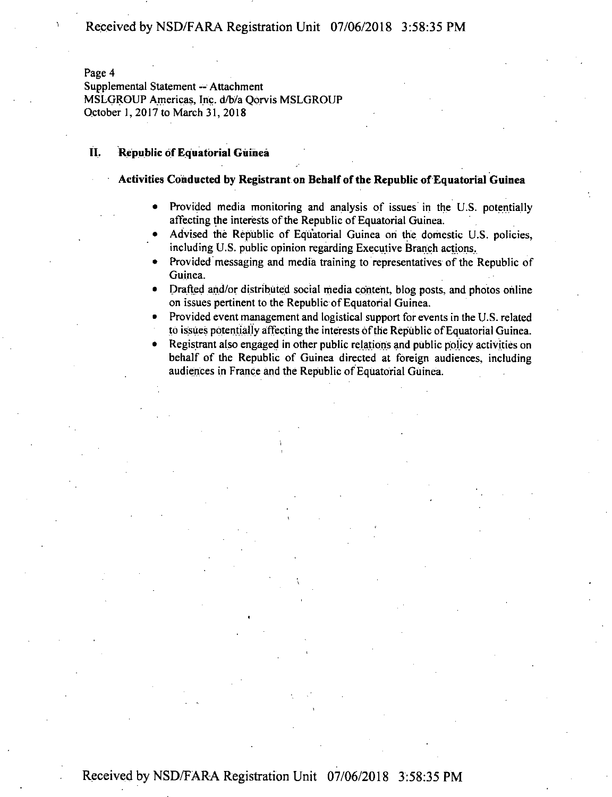Page 4

Supplemental Statement -- Attachment MSLGROUP Americas, Inc. d/b/a Qorvis MSLGROUP October 1, 2017 to March 31, 2018

#### **II. Republic** of Equatorial Guinea

#### **Activities Conducted by Registrant on Behalf ofthe Republic ofEquatorial Guinea**

- Provided media monitoring and analysis of issues in the U.S. potentially affecting the interests of the Republic of Equatorial Guinea.
- Advised the Republic of Equatorial Guinea on the domestic U.S. policies, including U.S. public opinion regarding Executive Branch actions.
- Provided messaging and media training to representatives of the Republic of Guinea.
- Drafted and/or distributed social media content, blog posts, and photos online on issues pertinent to the Republic of Equatorial Guinea.
- Provided event management and logistical support for events in the U.S. related to issues potentially affecting the interests of the Republic of Equatorial Guinea.
- Registrant also engaged in other public relations and public policy activities on behalf of the Republic of Guinea directed at foreign audiences, including audiences in France and the Republic of Equatorial Guinea.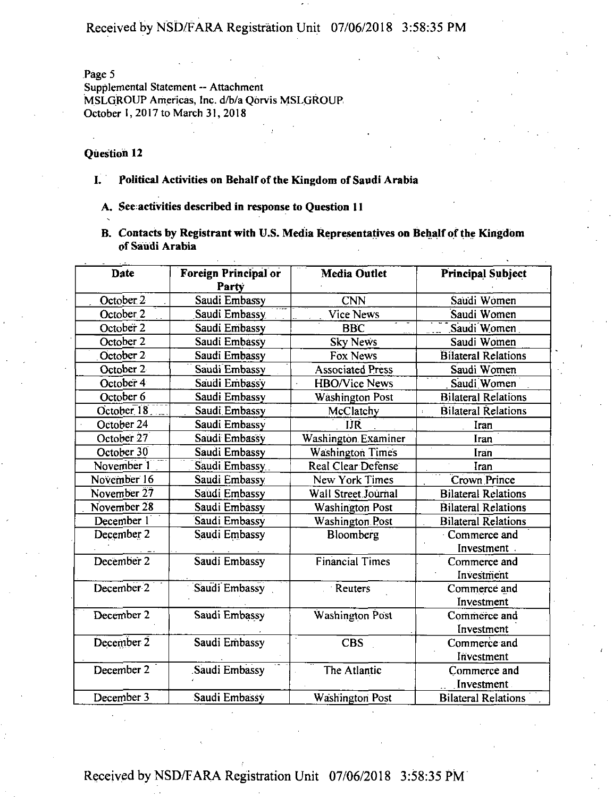Page 5

Supplemental Statement -- Attachment MSLGROUP Americas, Inc. d/b/a Qorvis MSLGROUP, October 1,2017 to March 31,2018

#### **Question 12**

- **I. Political Activities on Behalfofthe Kingdom of Saudi Arabia**
	- **A. See activities described in response to Question H**
	- **B. Contacts by Registrant with U.S. Media Representatives on Behalfofthe Kingdom of Saudi Arabia**

| Date                  | Foreign Principal or<br>Party | <b>Media Outlet</b>        | <b>Principal Subject</b>   |
|-----------------------|-------------------------------|----------------------------|----------------------------|
| October 2             | Saudi Embassy                 | <b>CNN</b>                 | Saudi Women                |
| October 2             | Saudi Embassy                 | Vice News                  | Saudi Women                |
| October 2             | Saudi Embassy                 | <b>BBC</b>                 | Saudi Women                |
| October 2             | Saudi Embassy                 | <b>Sky News</b>            | Saudi Women                |
| October 2             | Saudi Embassy                 | Fox News                   | <b>Bilateral Relations</b> |
| October 2             | Saudi Embassy                 | <b>Associated Press</b>    | Saudi Women                |
| October 4             | Saudi Embassy                 | <b>HBO/Vice News</b>       | Saudi Women                |
| October 6             | Saudi Embassy                 | <b>Washington Post</b>     | <b>Bilateral Relations</b> |
| October <sub>18</sub> | Saudi Embassy                 | McClatchy                  | <b>Bilateral Relations</b> |
| October 24            | Saudi Embassy                 | IJŔ                        | Iran                       |
| October 27            | Saudi Embassy                 | <b>Washington Examiner</b> | Iran                       |
| October 30            | Saudi Embassy                 | <b>Washington Times</b>    | Iran                       |
| November 1            | Saudi Embassy                 | Real Clear Defense         | Iran                       |
| November 16           | Saudi Embassy                 | New York Times             | Crown Prince               |
| November 27           | Saudi Embassy                 | Wall Street Journal        | <b>Bilateral Relations</b> |
| November 28           | Saudi Embassy                 | <b>Washington Post</b>     | <b>Bilateral Relations</b> |
| December 1            | Saudi Embassy                 | Washington Post            | <b>Bilateral Relations</b> |
| December 2            | Saudi Embassy                 | Bloomberg                  | · Commerce and             |
|                       |                               |                            | Investment                 |
| December 2            | Saudi Embassy                 | <b>Financial Times</b>     | Commerce and               |
|                       |                               |                            | Investment                 |
| December 2            | Saudi Embassy                 | Reuters                    | Commerce and               |
|                       |                               |                            | Investment                 |
| December 2            | Saudi Embassy                 | Washington Post            | Commerce and               |
|                       |                               |                            | Investment                 |
| December 2            | Saudi Embassy                 | <b>CBS</b>                 | Commerce and               |
|                       |                               |                            | Investment                 |
| December 2            | Saudi Embassy                 | The Atlantic               | Commerce and               |
|                       |                               |                            | Investment                 |
| December 3            | Saudi Embassy                 | <b>Washington Post</b>     | <b>Bilateral Relations</b> |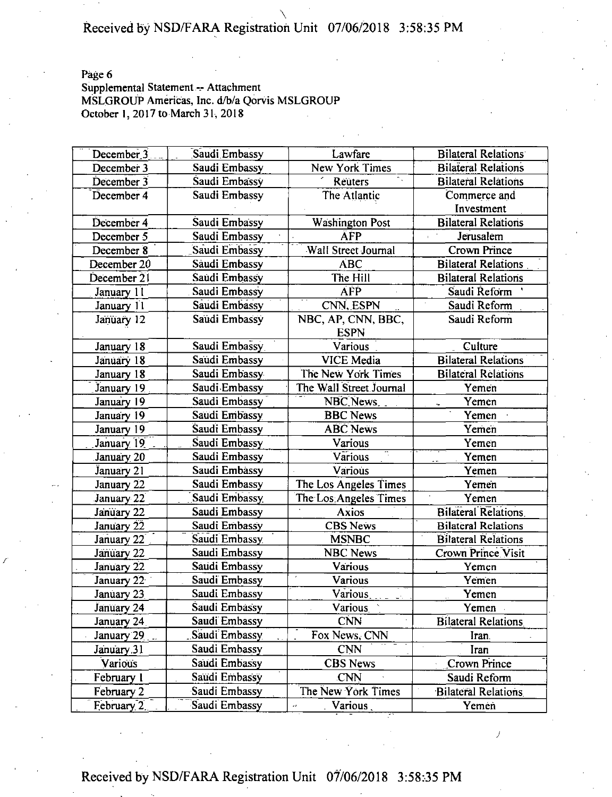Page 6

### Supplemental Statement -- Attachment MSLGROUP Americas, Inc. d/b/a Qorvis MSLGROUP October 1, 2017 to March 31, 2018

| December <sub>3</sub> | Saudi Embassy | Lawfare                 | <b>Bilateral Relations</b> |
|-----------------------|---------------|-------------------------|----------------------------|
| December 3            | Saudi Embassy | <b>New York Times</b>   | <b>Bilateral Relations</b> |
| December 3            | Saudi Embassy | $\mathbb{R}$<br>Reuters | <b>Bilateral Relations</b> |
| December 4            | Saudi Embassy | The Atlantic            | Commerce and               |
|                       |               |                         | Investment                 |
| December 4            | Saudi Embassy | <b>Washington Post</b>  | <b>Bilateral Relations</b> |
| December 5            | Saudi Embassy | <b>ÄFP</b>              | Jerusalem                  |
| December 8            | Saudi Embassy | Wall Street Journal     | <b>Crown Prince</b>        |
| December 20           | Saudi Embassy | <b>ABC</b>              | <b>Bilateral Relations</b> |
| December 21           | Saudi Embassy | The Hill                | <b>Bilateral Relations</b> |
| January 11            | Saudi Embassy | <b>AFP</b>              | Saudi Reform               |
| January 11            | Saudi Embassy | CNN, ESPN               | Saudi Reform               |
| January 12            | Saudi Embassy | NBC, AP, CNN, BBC,      | Saudi Reform               |
|                       |               | <b>ESPN</b>             |                            |
| January 18            | Saudi Embassy | Various                 | Culture                    |
| January 18            | Saudi Embassy | <b>VICE Media</b>       | <b>Bilateral Relations</b> |
| January 18            | Saudi Embassy | The New York Times      | <b>Bilateral Relations</b> |
| January 19            | Saudi Embassy | The Wall Street Journal | Yemen                      |
| January 19            | Saudi Embassy | NBC News                | Yemen                      |
| January 19            | Saudi Embassy | <b>BBC News</b>         | Yemen                      |
| January 19            | Saudi Embassy | <b>ABC</b> News         | Yemen                      |
| January 19            | Saudi Embassy | Various                 | Yemen                      |
| January <sub>20</sub> | Saudi Embassy | Various                 | Yemen                      |
| January 21            | Saudi Embassy | Various                 | Yemen                      |
| January 22            | Saudi Embassy | The Los Angeles Times   | Yemen                      |
| January 22            | Saudi Embassy | The Los Angeles Times   | Yemen                      |
| January 22            | Saudi Embassy | <b>Axios</b>            | <b>Bilateral Relations</b> |
| January 22            | Saudi Embassy | <b>CBS News</b>         | <b>Bilateral Relations</b> |
| January 22            | Saudi Embassy | <b>MSNBC</b>            | <b>Bilateral Relations</b> |
| January 22            | Saudi Embassy | <b>NBC News</b>         | <b>Crown Prince Visit</b>  |
| January 22            | Saudi Embassy | Various                 | Yemen                      |
| January 22            | Saudi Embassy | Various                 | Yemen                      |
| January 23            | Saudi Embassy | Various                 | Yemen                      |
| January 24            | Saudi Embassy | <b>Various</b>          | Yemen -                    |
| January 24            | Saudi Embassy | <b>CNN</b>              | <b>Bilateral Relations</b> |
| January 29            | Saudi Embassy | Fox News, CNN           | Iran.                      |
| January 31            | Saudi Embassy | <b>CNN</b>              | Iran                       |
| Various               | Saudi Embassy | <b>CBS</b> News         | Crown Prince               |
| February 1            | Saudi Embassy | <b>CNN</b>              | Saudi Reform               |
| February 2            | Saudi Embassy | The New York Times      | Bilateral Relations        |
| February 2.           | Saudi Embassy | Various<br>еđ           | Yemén                      |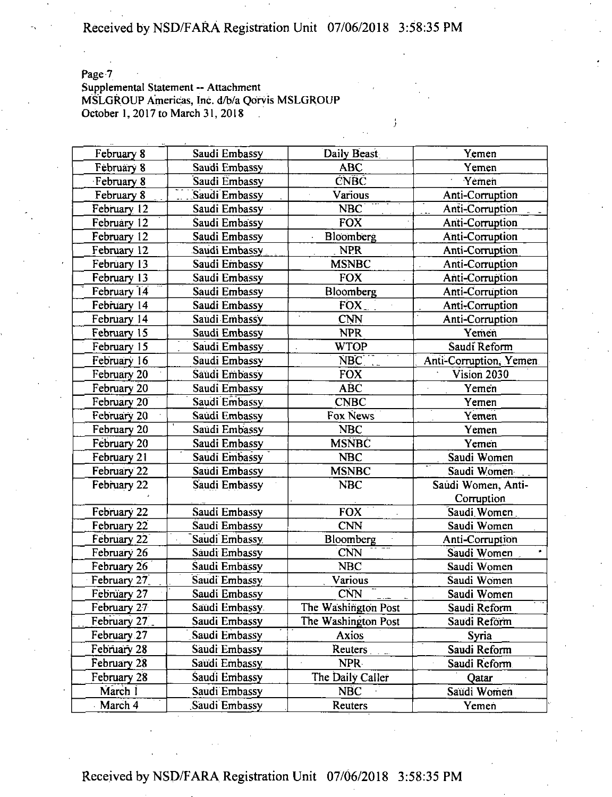Page 7

### Supplemental Statement -- Attachment MSLGROUP Americas, Inc. d/b/a Qorvis MSLGROUP October 1, 2017 to March 31, 2018

| February 8             | Saudi Embassy                | Daily Beast         | Yemen                  |
|------------------------|------------------------------|---------------------|------------------------|
| February 8             | Saudi Embassy                | <b>ABC</b><br>Yemen |                        |
| February 8             | <b>CNBC</b><br>Saudi Embassy |                     | Yemen                  |
| February 8             | Saudi Embassy                | Various             | Anti-Corruption        |
| February 12            | Saudi Embassy                | <b>NBC</b>          | Anti-Corruption        |
| February 12            | Saudi Embassy                | <b>FOX</b>          | Anti-Corruption        |
| February 12            | Saudi Embassy                | Bloomberg           | Anti-Corruption        |
| February 12            | Saudi Embassy                | <b>NPR</b>          | Anti-Corruption        |
| February 13            | Saudi Embassy                | <b>MSNBC</b>        | Anti-Corruption        |
| February 13            | Saudi Embassy                | <b>FOX</b>          | Anti-Corruption        |
| February 14            | Saudi Embassy                | Bloomberg           | Anti-Corruption        |
| February 14            | Saudi Embassy                | FOX                 | Anti-Corruption        |
| February 14            | Saudi Embassy                | <b>CNN</b>          | Anti-Corruption        |
| February 15            | Saudi Embassy                | <b>NPR</b>          | Yemen                  |
| February 15            | Saudi Embassy                | <b>WTOP</b>         | Saudi Reform           |
| February 16            | Saudi Embassy                | NBC                 | Anti-Corruption, Yemen |
| February 20            | Saudi Embassy                | <b>FOX</b>          | Vision 2030            |
| February 20            | Saudi Embassy                | ABC                 | Yemen                  |
| February 20            | Saudi Embassy                | <b>CNBC</b>         | Yemen                  |
| February <sub>20</sub> | Saudi Embassy                | Fox News            | Yemen                  |
| February 20            | Saudi Embassy                | <b>NBC</b>          | Yemen                  |
| February 20            | Saudi Embassy                | <b>MSNBC</b>        | Yemen                  |
| February 21            | Saudi Embassy                | <b>NBC</b>          | Saudi Women            |
| February 22            | Saudi Embassy                | <b>MSNBC</b>        | Saudi Women            |
| February 22            | Saudi Embassy                | <b>NBC</b>          | Saudi Women, Anti-     |
|                        |                              |                     | Corruption             |
| February 22            | Saudi Embassy                | <b>FOX</b>          | Saudi Women            |
| February 22            | Saudi Embassy                | <b>CNN</b>          | Saudi Women            |
| February 22            | Saudi Embassy                | Bloomberg           | Anti-Corruption        |
| February 26            | Saudi Embassy                | <b>CNN</b>          | Saudi Women            |
| February 26            | Saudi Embassy                | <b>NBC</b>          | Saudi Women            |
| February 27            | Saudi Embassy                | Various             | Saudi Women            |
| February 27            | Saudi Embassy                | <b>CNN</b>          | Saudi Women            |
| February 27            | Saudi Embassy                | The Washington Post | Saudi Reform           |
| February 27            | Saudi Embassy                | The Washington Post | Saudi Reförm           |
| February 27            | Saudi Embassy                | Axios               | Syria                  |
| February 28            | Saudi Embassy                | Reuters.            | Saudi Reform           |
| February 28            | Saudi Embassy                | NPR-                | Saudi Reform           |
| February 28            | Saudi Embassy                | The Daily Caller    | Qatar                  |
| March I                | Saudi Embassy                | <b>NBC</b>          | Saudi Women            |
| March 4                | Saudi Embassy                | Reuters             | Yemen                  |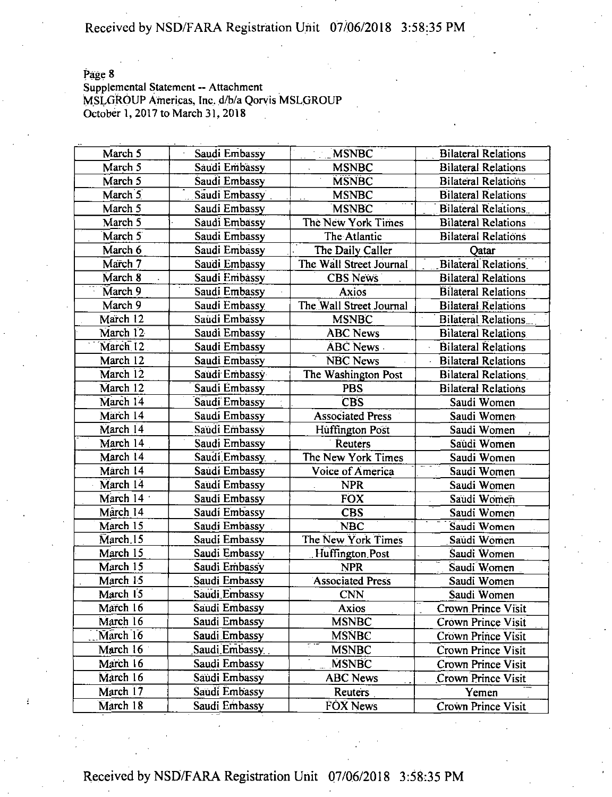Page 8<br>Supplemental Statement -- Attachment MSLGROUP Americas, Inc. d/b/a Qorvis MSLGROUP October 1, 2017 to March 31, 2018

| March 5              | Saudi Embassy  | <b>MSNBC</b>            | <b>Bilateral Relations</b> |
|----------------------|----------------|-------------------------|----------------------------|
| March 5              | Saudi Embassy  | <b>MSNBC</b>            | <b>Bilateral Relations</b> |
| March 5              | Saudi Embassy  | <b>MSNBC</b>            | <b>Bilateral Relations</b> |
| March 5              | Saudi Embassy  | <b>MSNBC</b>            | <b>Bilateral Relations</b> |
| March 5              | Saudi Embassy  | <b>MSNBC</b>            | <b>Bilateral Relations</b> |
| March 5              | Saudi Embassy  | The New York Times      | <b>Bilateral Relations</b> |
| March 5              | Saudi Embassy  | The Atlantic            | <b>Bilateral Relations</b> |
| March 6              | Saudi Embassy  | The Daily Caller        | Qatar                      |
| March 7              | Saudi Embassy  | The Wall Street Journal | Bilateral Relations        |
| March 8              | Saudi Embassy  | <b>CBS News</b>         | <b>Bilateral Relations</b> |
| March 9              | Saudi Embassy  | Axios                   | <b>Bilateral Relations</b> |
| March 9              | Saudi Embassy  | The Wall Street Journal | <b>Bilateral Relations</b> |
| March 12             | Saudi Embassy  | <b>MSNBC</b>            | <b>Bilateral Relations</b> |
| March 12             | Saudi Embassy  | <b>ABC News</b>         | <b>Bilateral Relations</b> |
| March <sub>12</sub>  | Saudi Embassy  | <b>ÄBC</b> News         | <b>Bilateral Relations</b> |
| March 12             | Saudi Embassy  | NBC News                | <b>Bilateral Relations</b> |
| March 12             | Saudi Embassy  | The Washington Post     | <b>Bilateral Relations</b> |
| March 12             | Saudi Embassy  | <b>PBS</b>              | <b>Bilateral Relations</b> |
| March 14             | Saudi Embassy  | <b>CBS</b>              | Saudi Women                |
| March 14             | Saudi Embassy  | <b>Associated Press</b> | Saudi Women                |
| March 14             | Saudi Embassy  | Huffington Post         | Saudi Women                |
| March 14             | Saudi Embassy  | Reuters                 | Saudi Women                |
| March 14             | Saudi Embassy  | The New York Times      | Saudi Women                |
| March 14             | Saudi Embassy  | Voice of America        | Saudi Women                |
| March 14             | Saudi Embassy  | <b>NPR</b>              | Saudi Women                |
| March 14             | Saudi Embassy  | <b>FOX</b>              | Saudi Women                |
| Mârch 14             | Saudi Embassy  | <b>CBS</b>              | Saudi Women                |
| March 15             | Saudi Embassy  | <b>NBC</b>              | Saudi Women                |
| March <sub>.15</sub> | Saudi Embassy  | The New York Times      | Saudi Women                |
| March 15             | Saudi Embassy  | Huffington Post         | Saudi Women                |
| March 15             | Saudi Embassy  | <b>NPR</b>              | Saudi Women                |
| March 15             | Saudi Embassy  | <b>Associated Press</b> | Saudi Women                |
| March 15             | Saudi Embassy  | <b>CNN</b>              | Saudi Women                |
| March 16             | Saudi Embassy  | Axios                   | Crown Prince Visit         |
| March 16             | Saudi Embassy  | <b>MSNBC</b>            | Crown Prince Visit         |
| March 16             | Saudi Embassy  | <b>MSNBC</b>            | Crown Prince Visit         |
| March 16             | Saudi Embassy. | <b>MSNBC</b>            | Crown Prince Visit         |
| March 16             | Saudi Embassy  | <b>MSNBC</b>            | Crown Prince Visit         |
| March 16             | Saudi Embassy  | <b>ABC News</b>         | Crown Prince Visit         |
| March 17             | Saudi Embassy  | Reuters                 | Yemen                      |
| March 18             | Saudi Embassy  | FOX News                | <b>Crown Prince Visit</b>  |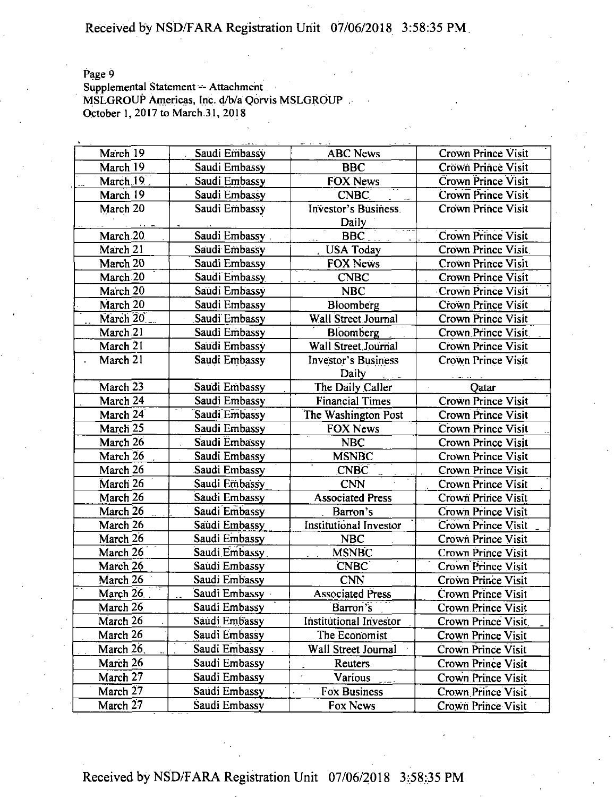Page 9

Supplemental Statement -- Attachment MSLGROUP Americas, Inc. d/b/a Qorvis MSLGROUP . October 1, 2017 to March.3.1, 2018

| March 19  |                                |                               |                                          |
|-----------|--------------------------------|-------------------------------|------------------------------------------|
| March 19  | Saudi Embassy                  | <b>ABC News</b>               | Crown Prince Visit<br>Crown Prince Visit |
| March 19  | Saudi Embassy<br>Saudi Embassy | <b>BBC</b><br><b>FOX News</b> | Crown Prince Visit                       |
|           |                                |                               |                                          |
| March 19  | Saudi Embassy                  | CNEC                          | Crown Prince Visit                       |
| March 20  | Saudi Embassy                  | Investor's Business.          | <b>Crown Prince Visit</b>                |
|           |                                | Daily                         |                                          |
| March 20  | Saudi Embassy                  | <b>BBC</b>                    | <b>Crown Prince Visit</b>                |
| March 21  | Saudi Embassy                  | <b>USA Today</b>              | Crown Prince Visit                       |
| March 20  | Saudi Embassy                  | <b>FOX News</b>               | Crown Prince Visit                       |
| March.20  | Saudi Embassy                  | <b>CNBC</b>                   | <b>Crown Prince Visit</b>                |
| March 20  | Saudi Embassy                  | <b>NBC</b>                    | Crown Prince Visit                       |
| March 20  | Saudi Embassy                  | Bloomberg                     | Crown Prince Visit                       |
| March 20  | Saudi Embassy                  | Wall Street Journal           | Crown Prince Visit                       |
| March 21  | Saudi Embassy                  | Bloomberg                     | Crown Prince Visit                       |
| March 21  | Saudi Embassy                  | Wall Street Journal           | <b>Crown Prince Visit</b>                |
| March 21  | Saudi Embassy                  | <b>Investor's Business</b>    | Crown Prince Visit                       |
|           |                                | Daily                         |                                          |
| March 23  | Saudi Embassy                  | The Daily Caller              | Qatar                                    |
| March 24  | Saudi Embassy                  | <b>Financial Times</b>        | Crown Prince Visit                       |
| March 24  | Saudi Embassy                  | The Washington Post           | <b>Crown Prince Visit</b>                |
| March 25  | Saudi Embassy                  | FOX News                      | Crown Prince Visit                       |
| March 26  | Saudi Embassy                  | <b>NBC</b>                    | <b>Crown Prince Visit</b>                |
| March 26  | Saudi Embassy                  | <b>MSNBC</b>                  | Crown Prince Visit                       |
| March 26  | Saudi Embassy                  | <b>CNBC</b>                   | Crown Prince Visit                       |
| March 26  | Saudi Embassy                  | <b>CNN</b>                    | Crown Prince Visit                       |
| March 26  | Saudi Embassy                  | <b>Associated Press</b>       | Crown Prince Visit                       |
| March 26  | Saudi Embassy                  | Barron's                      | <b>Crown Prince Visit</b>                |
| March 26  | Saudi Embassy                  | Institutional Investor        | Crown Prince Visit                       |
| March 26  | Saudi Embassy                  | <b>NBC</b>                    | Crown Prince Visit                       |
| March 26  | Saudi Embassy                  | <b>MSNBC</b>                  | Crown Prince Visit                       |
| March 26  | Saudi Embassy                  | <b>CNBC</b>                   | Crown Prince Visit                       |
| March 26  | Saudi Embassy                  | <b>CNN</b>                    | <b>Crown Prince Visit</b>                |
| March 26  | Saudi Embassy                  | <b>Associated Press</b>       | Crown Prince Visit                       |
| March 26  | Saudi Embassy                  | Barron's                      | Crown Prince Visit                       |
| March 26  | Saudi Embassy                  | Institutional Investor        | Crown Prince Visit                       |
| March 26  | Saudi Embassy                  | The Economist                 | Crown Prince Visit                       |
| March 26. | Saudi Embassy                  | Wall Street Journal           | Crown Prince Visit                       |
| March 26  | Saudi Embassy                  | Reuters.                      | Crown Prince Visit                       |
| March 27  | Saudi Embassy                  | Various                       | Crown Prince Visit                       |
| March 27  | Saudi Embassy                  | <b>Fox Business</b>           | Crown Prince Visit                       |
| March 27  | Saudi Embassy                  | Fox News                      | Crown Prince Visit                       |
|           |                                |                               |                                          |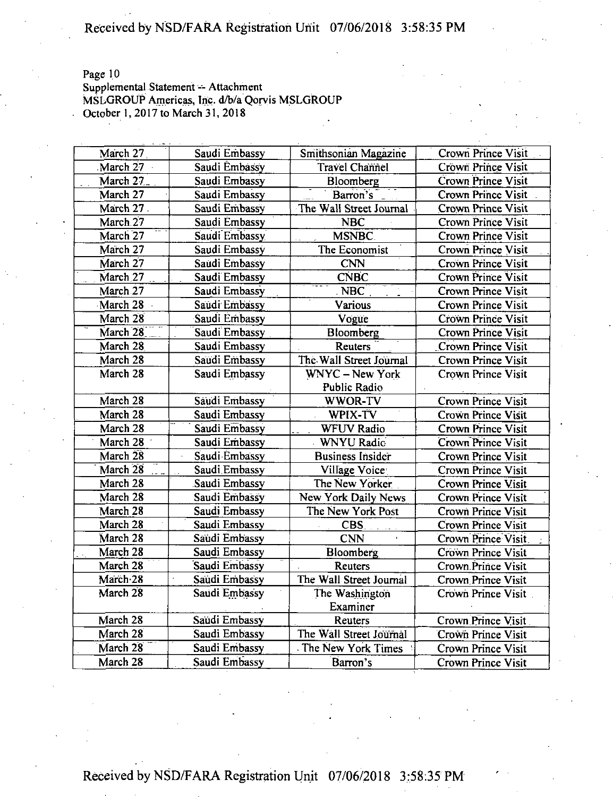Page 10

Supplemental Statement -- Attachment MSLGROUP Americas, Inc. d/b/a Qorvis MSLGROUP October 1, 2017 to March 31, 2018

| March 27             | Saudi Embassy                       | Smithsonian Magazine    | Crown Prince Visit        |
|----------------------|-------------------------------------|-------------------------|---------------------------|
| March 27             | Saudi Embassy                       | <b>Travel Channel</b>   | Crown Prince Visit        |
| March 27             | Saudi Embassy                       | Bloomberg               | Crown Prince Visit        |
| March 27             | Saudi Embassy                       | Barron's                | Crown Prince Visit        |
| March 27             | Saudi Embassy                       | The Wall Street Journal | <b>Crown Prince Visit</b> |
| March 27             | Saudi Embassy                       | <b>NBC</b>              | Crown Prince Visit        |
| March 27             | Saudi Embassy                       | <b>MSNBC</b>            | Crown Prince Visit        |
| March 27             | Saudi Embassy                       | The Economist           | Crown Prince Visit        |
| March 27             | Saudi Embassy                       | <b>CNN</b>              | Crown Prince Visit        |
| March <sub>.27</sub> | Saudi Embassy                       | <b>CNBC</b>             | Crown Prince Visit        |
| March 27             | Saudi Embassy                       | <b>NBC</b>              | Crown Prince Visit        |
| March 28             | Saudi Embassy                       | Various                 | Crown Prince Visit        |
| March 28             | Saudi Embassy                       | Vogue                   | Crown Prince Visit        |
| March 28             | Saudi Embassy                       | Bloomberg               | <b>Crown Prince Visit</b> |
| March 28             | Saudi Embassy                       | <b>Reuters</b>          | <b>Crown Prince Visit</b> |
| March 28             | Saudi Embassy                       | The Wall Street Journal | <b>Crown Prince Visit</b> |
| March 28             | Saudi Embassy                       | <b>WNYC</b> - New York  | Crown Prince Visit        |
|                      |                                     | Public Radio            |                           |
| March 28             | Saudi Embassy                       | WWOR-TV                 | <b>Crown Prince Visit</b> |
| March 28             | Saudi Embassy                       | WPIX-TV                 | <b>Crown Prince Visit</b> |
| March 28             | Saudi Embassy                       | <b>WFUV Radio</b>       | <b>Crown Prince Visit</b> |
| March 28             | Saudi Embassy                       | <b>WNYU Radio</b>       | Crown Prince Visit        |
| March 28             | Saudi Embassy<br>$\hat{\mathbf{z}}$ | <b>Business Insider</b> | Crown Prince Visit        |
| March 28             | Saudi Embassy                       | Village Voice:          | Crown Prince Visit        |
| March 28             | Saudi Embassy                       | The New Yorker          | Crown Prince Visit        |
| March 28             | Saudi Embassy                       | New York Daily News     | Crown Prince Visit        |
| March 28             | Saudi Embassy                       | The New York Post       | Crown Prince Visit        |
| March 28             | Saudi Embassy                       | CBS.                    | Crown Prince Visit        |
| March 28             | Saudi Embassy                       | <b>CNN</b>              | Crown Prince Visit        |
| March 28             | Saudi Embassy                       | Bloomberg               | Crown Prince Visit        |
| March 28             | Saudi Embassy                       | Reuters                 | <b>Crown Prince Visit</b> |
| March 28             | Saudi Embassy                       | The Wall Street Journal | Crown Prince Visit        |
| March 28             | Saudi Embassy                       | The Washington          | Crown Prince Visit        |
|                      |                                     | Examiner                |                           |
| March 28             | Saudi Embassy                       | Reuters                 | Crown Prince Visit        |
| March 28             | Saudi Embassy                       | The Wall Street Journal | Crown Prince Visit        |
| March 28             | Saudi Embassy                       | The New York Times      | Crown Prince Visit        |
| March 28             | Saudi Embassy                       | Barron's                | Crown Prince Visit        |
|                      |                                     |                         |                           |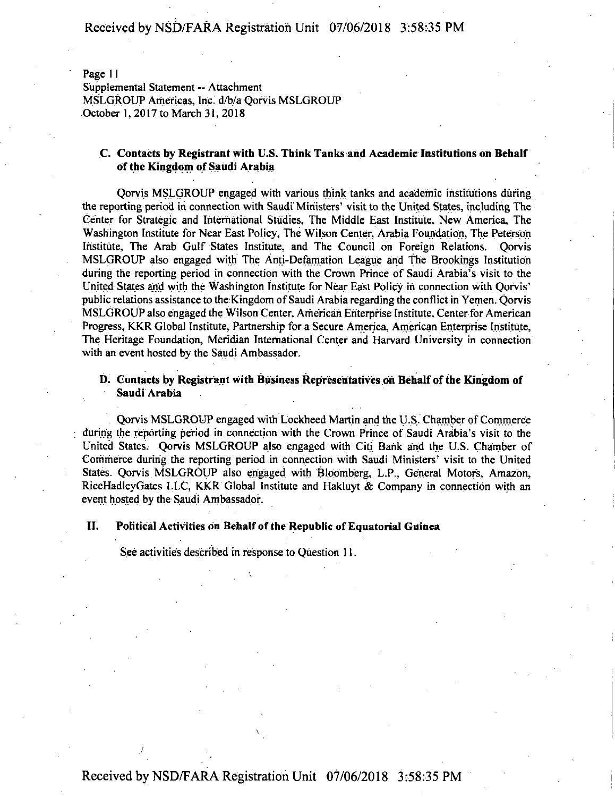Page 11

Supplemental Statement — Attachment MSLGROUP Americas, Inc. d/b/a Qorvis MSLGROUP October 1,2017 to March 31, 2018

#### **C. Contacts by Registrant with U.S. Think Tanks and Academic Institutions on Behalf ofthe Kingdom of Saudi Arabia**

Qorvis MSLGROUP engaged with various think tanks and academic institutions during the reporting period in connection with Saudi Ministers' visit to the United States, including The Center for Strategic and International Studies, The Middle East Institute, New America, The Washington Institute for Near East Policy, The Wilson Center, Arabia Foundation, The Peterson Institute, The Arab Gulf States Institute, and The Council on Foreign Relations. Qorvis MSLGROUP also engaged with The Anti-Defamation League and The Brookings Institution during the reporting period in connection with the Crown Prince of Saudi Arabia's visit to the United States and with the Washington institute for Near East Policy in connection with Qorvis' public relations assistance to the Kingdom of Saudi Arabia regarding the conflict in Yemen. Qorvis MSLGROUP also engaged the Wilson Center, American Enterprise Institute, Centerfor American Progress, KKR Globa! Institute, Partnership for a Secure America, American Enterprise Institute, The Heritage Foundation, Meridian International Center and Harvard University in connection with an event hosted by the Saudi Ambassador.

#### **D. Contacts by Registrant with Business Representatives oh Behalf ofthe Kingdom of Saudi Arabia**

Qorvis MSLGROUP engaged with Lockheed Martin and the U.S. Chamber of Commerce during the reporting period in connection with the Crown Prince of Saudi Arabia's visit to the United States. Qorvis MSLGROUP also engaged with Citi Bank and the U.S. Chamber of Commerce during the reporting period in connection with Saudi Ministers' visit to the United States. Qorvis MSLGROUP also engaged with Bloomberg, L.P., General Motors, Amazon, RiceHadleyGates LLC, KKR Global Institute and Hakluyt & Company in connection with an event hosted by the Saudi Ambassador.

#### **II. Political Activities on Behalf ofthe Republic ofEquatorial Guinea**

See activities described in response to Question 11.

 $\overline{\phantom{a}}$ 

*j*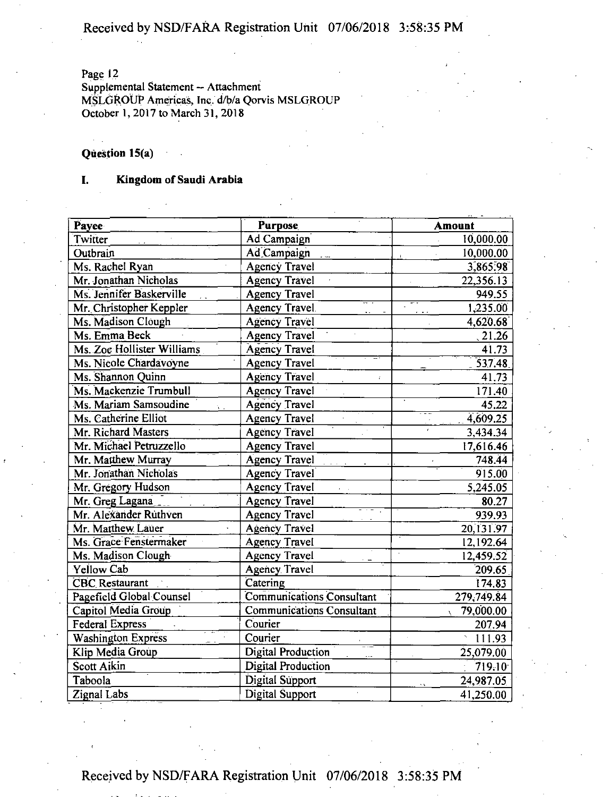Page 12

Supplemental Statement — Attachment MSLGROUP Americas, Inc. d/b/a Qorvis MSLGROUP October 1, 2017 to March 31, 2018

### **Question 15(a)**

#### **I. Kingdom of Saudi Arabia**

| Payee                      | Purpose                          | <b>Amount</b> |
|----------------------------|----------------------------------|---------------|
| Twitter                    | Ad Campaign                      | 10,000.00     |
| Outbrain                   | Ad Campaign                      | 10,000.00     |
| Ms. Rachel Ryan            | <b>Agency Travel</b>             | 3,865.98      |
| Mr. Jonathan Nicholas      | <b>Agency Travel</b>             | 22,356.13     |
| Ms. Jennifer Baskerville   | <b>Agency Travel</b>             | 949.55        |
| Mr. Christopher Keppler    | <b>Agency Travel</b>             | 1,235.00      |
| Ms. Madison Clough         | <b>Agency Travel</b>             | 4,620.68      |
| Ms. Emma Beck              | <b>Agency Travel</b>             | 21.26         |
| Ms. Zoe Hollister Williams | <b>Agency Travel</b>             | 41.73         |
| Ms. Nicole Chardavoyne     | <b>Agency Travel</b>             | 537.48        |
| Ms. Shannon Quinn          | <b>Agency Travel</b><br>Ŷ.       | 41.73         |
| Ms. Mackenzie Trumbull     | <b>Agency Travel</b>             | 171.40        |
| Ms. Mariam Samsoudine      | Agency Travel                    | 45.22         |
| Ms. Catherine Elliot       | <b>Agency Travel</b>             | 4,609.25      |
| Mr. Richard Masters        | Agency Travel                    | 3,434.34      |
| Mr. Michael Petruzzello    | <b>Agency Travel</b>             | 17,616.46     |
| Mr. Matthew Murray         | <b>Agency Travel</b>             | 748.44        |
| Mr. Jonathan Nicholas      | <b>Agency Travel</b>             | 915.00        |
| Mr. Gregory Hudson         | <b>Agency Travel</b>             | 5,245.05      |
| Mr. Greg Lagana            | <b>Agency Travel</b>             | 80.27         |
| Mr. Alexander Ruthven      | <b>Agency Travel</b>             | 939.93        |
| Mr. Matthew Lauer          | Agency Travel                    | 20,131.97     |
| Ms. Grace Fenstermaker     | <b>Agency Travel</b>             | 12,192.64     |
| Ms. Madison Clough         | <b>Agency Travel</b>             | 12,459.52     |
| Yellow Cab                 | <b>Agency Travel</b>             | 209.65        |
| <b>CBC</b> Restaurant      | Catering                         | 174.83        |
| Pagefield Global Counsel   | Communications Consultant        | 279,749.84    |
| Capitol Media Group        | <b>Communications Consultant</b> | 79,000.00     |
| <b>Federal Express</b>     | Courier                          | 207.94        |
| <b>Washington Express</b>  | Courier                          | 111.93        |
| Klip Media Group           | <b>Digital Production</b>        | 25,079.00     |
| Scott Aikin                | <b>Digital Production</b>        | 719.10        |
| Taboola                    | Digital Support                  | 24,987.05     |
| <b>Zignal Labs</b>         | <b>Digital Support</b>           | 41,250.00     |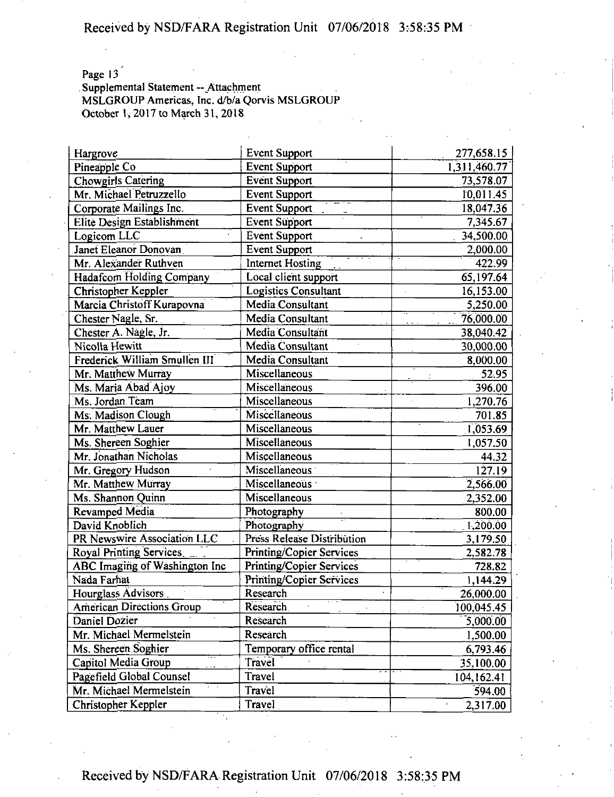Page 13<sup></sup>

Supplemental Statement -- Attachment MSLGROUP Americas, Inc. d/b/a Qorvis MSLGROUP October 1, 2017 to March 31, 2018

| Hargrove                         | <b>Event Support</b>            | 277,658.15   |
|----------------------------------|---------------------------------|--------------|
| Pineapple Co                     | Event Support                   | 1,311,460.77 |
| <b>Chowgirls Catering</b>        | Event Support                   | 73,578.07    |
| Mr. Michael Petruzzello          | <b>Event Support</b>            | 10,011.45    |
| Corporate Mailings Inc.          | <b>Event Support</b>            | 18,047.36    |
| Elite Design Establishment       | <b>Event Support</b>            | 7,345.67     |
| Logicom LLC                      | <b>Event Support</b>            | 34,500.00    |
| Janet Eleanor Donovan            | <b>Event Support</b>            | 2,000.00     |
| Mr. Alexander Ruthven            | Internet Hosting                | 422.99       |
| <b>Hadafcom Holding Company</b>  | Local client support            | 65,197.64    |
| Christopher Keppler              | <b>Logistics Consultant</b>     | 16,153.00    |
| Marcia Christoff Kurapovna       | Media Consultant                | 5,250.00     |
| Chester Nagle, Sr.               | Media Consultant                | 76,000.00    |
| Chester A. Nagle, Jr.            | Media Consultant                | 38,040.42    |
| Nicolla Hewitt                   | Media Consultant                | 30,000.00    |
| Frederick William Smullen III    | Media Consultant                | 8,000.00     |
| Mr. Matthew Murray               | Miscellaneous                   | 52.95        |
| Ms. Maria Abad Ajoy              | Miscellaneous                   | 396.00       |
| Ms. Jordan Team                  | Miscellaneous                   | 1,270.76     |
| Ms. Madison Clough               | Miscellaneous                   | 701.85       |
| Mr. Matthew Lauer                | Miscellaneous                   | 1,053.69     |
| Ms. Shereen Soghier              | Miscellaneous                   | 1,057.50     |
| Mr. Jonathan Nicholas            | Miscellaneous                   | 44.32        |
| Mr. Gregory Hudson               | Miscellaneous                   | 127.19       |
| Mr. Matthew Murray               | Miscellaneous ·                 | 2,566.00     |
| Ms. Shannon Quinn                | Miscellaneous                   | 2,352.00     |
| Revamped Media                   | Photography                     | 800.00       |
| David Knoblich                   | Photography                     | 1,200.00     |
| PR Newswire Association LLC      | Press Release Distribution      | 3,179.50     |
| <b>Royal Printing Services</b>   | <b>Printing/Copier Services</b> | 2,582.78     |
| ABC Imaging of Washington Inc    | <b>Printing/Copier Services</b> | 728.82       |
| Nada Farhat                      | <b>Printing/Copier Services</b> | 1,144.29     |
| Hourglass Advisors               | Research                        | 26,000.00    |
| <b>American Directions Group</b> | Research                        | 100,045.45   |
| Daniel Dozier                    | Research                        | 5,000.00     |
| Mr. Michael Mermelstein          | Research                        | 1,500.00     |
| Ms. Shereen Soghier              | Temporary office rental         | 6,793.46     |
| Capitol Media Group              | Travel                          | 35,100.00    |
| Pagefield Global Counsel         | Travel                          | 104,162.41   |
| Mr. Michael Mermelstein          | Travel                          | 594.00       |
| Christopher Keppler              | Travel                          | 2,317.00     |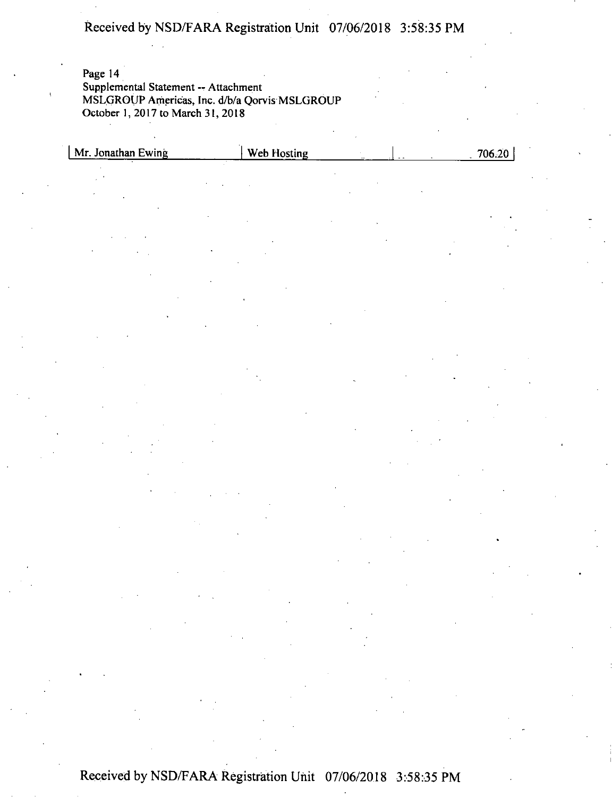Page 14 Supplemental Statement -- Attachment MSLGROUP Americas, Inc. d/b/a Qorvis MSLGROUP October 1, 2017 to March 31, 2018

| Mr. Jonathan Ewing                                                                                                                 | <b>Web Hosting</b>                                                                                                                                                                                                                                                  |                                                                                                                                                                                                                                                                                                                      | 706.20                                                                                                                                                                                                                                                                                                                                                                                                                                                 |
|------------------------------------------------------------------------------------------------------------------------------------|---------------------------------------------------------------------------------------------------------------------------------------------------------------------------------------------------------------------------------------------------------------------|----------------------------------------------------------------------------------------------------------------------------------------------------------------------------------------------------------------------------------------------------------------------------------------------------------------------|--------------------------------------------------------------------------------------------------------------------------------------------------------------------------------------------------------------------------------------------------------------------------------------------------------------------------------------------------------------------------------------------------------------------------------------------------------|
|                                                                                                                                    |                                                                                                                                                                                                                                                                     |                                                                                                                                                                                                                                                                                                                      |                                                                                                                                                                                                                                                                                                                                                                                                                                                        |
|                                                                                                                                    |                                                                                                                                                                                                                                                                     |                                                                                                                                                                                                                                                                                                                      |                                                                                                                                                                                                                                                                                                                                                                                                                                                        |
|                                                                                                                                    |                                                                                                                                                                                                                                                                     |                                                                                                                                                                                                                                                                                                                      |                                                                                                                                                                                                                                                                                                                                                                                                                                                        |
|                                                                                                                                    |                                                                                                                                                                                                                                                                     |                                                                                                                                                                                                                                                                                                                      |                                                                                                                                                                                                                                                                                                                                                                                                                                                        |
|                                                                                                                                    |                                                                                                                                                                                                                                                                     |                                                                                                                                                                                                                                                                                                                      |                                                                                                                                                                                                                                                                                                                                                                                                                                                        |
|                                                                                                                                    |                                                                                                                                                                                                                                                                     |                                                                                                                                                                                                                                                                                                                      |                                                                                                                                                                                                                                                                                                                                                                                                                                                        |
|                                                                                                                                    |                                                                                                                                                                                                                                                                     |                                                                                                                                                                                                                                                                                                                      |                                                                                                                                                                                                                                                                                                                                                                                                                                                        |
|                                                                                                                                    |                                                                                                                                                                                                                                                                     |                                                                                                                                                                                                                                                                                                                      |                                                                                                                                                                                                                                                                                                                                                                                                                                                        |
|                                                                                                                                    |                                                                                                                                                                                                                                                                     |                                                                                                                                                                                                                                                                                                                      |                                                                                                                                                                                                                                                                                                                                                                                                                                                        |
|                                                                                                                                    |                                                                                                                                                                                                                                                                     |                                                                                                                                                                                                                                                                                                                      |                                                                                                                                                                                                                                                                                                                                                                                                                                                        |
|                                                                                                                                    |                                                                                                                                                                                                                                                                     |                                                                                                                                                                                                                                                                                                                      |                                                                                                                                                                                                                                                                                                                                                                                                                                                        |
|                                                                                                                                    |                                                                                                                                                                                                                                                                     |                                                                                                                                                                                                                                                                                                                      |                                                                                                                                                                                                                                                                                                                                                                                                                                                        |
|                                                                                                                                    |                                                                                                                                                                                                                                                                     |                                                                                                                                                                                                                                                                                                                      |                                                                                                                                                                                                                                                                                                                                                                                                                                                        |
|                                                                                                                                    |                                                                                                                                                                                                                                                                     |                                                                                                                                                                                                                                                                                                                      |                                                                                                                                                                                                                                                                                                                                                                                                                                                        |
|                                                                                                                                    |                                                                                                                                                                                                                                                                     |                                                                                                                                                                                                                                                                                                                      |                                                                                                                                                                                                                                                                                                                                                                                                                                                        |
|                                                                                                                                    |                                                                                                                                                                                                                                                                     |                                                                                                                                                                                                                                                                                                                      |                                                                                                                                                                                                                                                                                                                                                                                                                                                        |
|                                                                                                                                    |                                                                                                                                                                                                                                                                     |                                                                                                                                                                                                                                                                                                                      |                                                                                                                                                                                                                                                                                                                                                                                                                                                        |
|                                                                                                                                    |                                                                                                                                                                                                                                                                     |                                                                                                                                                                                                                                                                                                                      |                                                                                                                                                                                                                                                                                                                                                                                                                                                        |
|                                                                                                                                    |                                                                                                                                                                                                                                                                     |                                                                                                                                                                                                                                                                                                                      |                                                                                                                                                                                                                                                                                                                                                                                                                                                        |
|                                                                                                                                    |                                                                                                                                                                                                                                                                     |                                                                                                                                                                                                                                                                                                                      |                                                                                                                                                                                                                                                                                                                                                                                                                                                        |
|                                                                                                                                    |                                                                                                                                                                                                                                                                     |                                                                                                                                                                                                                                                                                                                      |                                                                                                                                                                                                                                                                                                                                                                                                                                                        |
|                                                                                                                                    |                                                                                                                                                                                                                                                                     |                                                                                                                                                                                                                                                                                                                      |                                                                                                                                                                                                                                                                                                                                                                                                                                                        |
|                                                                                                                                    |                                                                                                                                                                                                                                                                     |                                                                                                                                                                                                                                                                                                                      |                                                                                                                                                                                                                                                                                                                                                                                                                                                        |
|                                                                                                                                    |                                                                                                                                                                                                                                                                     |                                                                                                                                                                                                                                                                                                                      |                                                                                                                                                                                                                                                                                                                                                                                                                                                        |
|                                                                                                                                    |                                                                                                                                                                                                                                                                     |                                                                                                                                                                                                                                                                                                                      |                                                                                                                                                                                                                                                                                                                                                                                                                                                        |
|                                                                                                                                    |                                                                                                                                                                                                                                                                     |                                                                                                                                                                                                                                                                                                                      |                                                                                                                                                                                                                                                                                                                                                                                                                                                        |
|                                                                                                                                    |                                                                                                                                                                                                                                                                     |                                                                                                                                                                                                                                                                                                                      |                                                                                                                                                                                                                                                                                                                                                                                                                                                        |
|                                                                                                                                    |                                                                                                                                                                                                                                                                     |                                                                                                                                                                                                                                                                                                                      |                                                                                                                                                                                                                                                                                                                                                                                                                                                        |
|                                                                                                                                    |                                                                                                                                                                                                                                                                     |                                                                                                                                                                                                                                                                                                                      |                                                                                                                                                                                                                                                                                                                                                                                                                                                        |
|                                                                                                                                    |                                                                                                                                                                                                                                                                     |                                                                                                                                                                                                                                                                                                                      |                                                                                                                                                                                                                                                                                                                                                                                                                                                        |
|                                                                                                                                    |                                                                                                                                                                                                                                                                     |                                                                                                                                                                                                                                                                                                                      |                                                                                                                                                                                                                                                                                                                                                                                                                                                        |
|                                                                                                                                    |                                                                                                                                                                                                                                                                     |                                                                                                                                                                                                                                                                                                                      | $\mathcal{L}^{\text{max}}_{\text{max}}$                                                                                                                                                                                                                                                                                                                                                                                                                |
|                                                                                                                                    |                                                                                                                                                                                                                                                                     |                                                                                                                                                                                                                                                                                                                      |                                                                                                                                                                                                                                                                                                                                                                                                                                                        |
|                                                                                                                                    |                                                                                                                                                                                                                                                                     |                                                                                                                                                                                                                                                                                                                      |                                                                                                                                                                                                                                                                                                                                                                                                                                                        |
|                                                                                                                                    | $\label{eq:2.1} \frac{1}{\sqrt{2}}\int_{\mathbb{R}^3}\frac{1}{\sqrt{2}}\left(\frac{1}{\sqrt{2}}\right)^2\frac{1}{\sqrt{2}}\left(\frac{1}{\sqrt{2}}\right)^2\frac{1}{\sqrt{2}}\left(\frac{1}{\sqrt{2}}\right)^2\frac{1}{\sqrt{2}}\left(\frac{1}{\sqrt{2}}\right)^2.$ |                                                                                                                                                                                                                                                                                                                      |                                                                                                                                                                                                                                                                                                                                                                                                                                                        |
| $\mathbf{R}^{(n)}$ and $\mathbf{R}^{(n)}$ and $\mathbf{R}^{(n)}$                                                                   |                                                                                                                                                                                                                                                                     |                                                                                                                                                                                                                                                                                                                      |                                                                                                                                                                                                                                                                                                                                                                                                                                                        |
|                                                                                                                                    | $\mathcal{L}^{\mathcal{L}}(\mathcal{L}^{\mathcal{L}})$ and $\mathcal{L}^{\mathcal{L}}(\mathcal{L}^{\mathcal{L}})$ and $\mathcal{L}^{\mathcal{L}}(\mathcal{L}^{\mathcal{L}})$                                                                                        |                                                                                                                                                                                                                                                                                                                      | $\label{eq:2.1} \frac{1}{\sqrt{2}}\left(\frac{1}{\sqrt{2}}\right)^{2} \left(\frac{1}{\sqrt{2}}\right)^{2} \left(\frac{1}{\sqrt{2}}\right)^{2} \left(\frac{1}{\sqrt{2}}\right)^{2} \left(\frac{1}{\sqrt{2}}\right)^{2} \left(\frac{1}{\sqrt{2}}\right)^{2} \left(\frac{1}{\sqrt{2}}\right)^{2} \left(\frac{1}{\sqrt{2}}\right)^{2} \left(\frac{1}{\sqrt{2}}\right)^{2} \left(\frac{1}{\sqrt{2}}\right)^{2} \left(\frac{1}{\sqrt{2}}\right)^{2} \left(\$ |
|                                                                                                                                    |                                                                                                                                                                                                                                                                     |                                                                                                                                                                                                                                                                                                                      |                                                                                                                                                                                                                                                                                                                                                                                                                                                        |
| $\mathcal{L}(\mathcal{L}^{\mathcal{L}})$ and $\mathcal{L}(\mathcal{L}^{\mathcal{L}})$ and $\mathcal{L}(\mathcal{L}^{\mathcal{L}})$ |                                                                                                                                                                                                                                                                     | $\label{eq:2.1} \mathcal{L}(\mathcal{L}^{\mathcal{L}}_{\mathcal{L}}(\mathcal{L}^{\mathcal{L}}_{\mathcal{L}})) \leq \mathcal{L}(\mathcal{L}^{\mathcal{L}}_{\mathcal{L}}(\mathcal{L}^{\mathcal{L}}_{\mathcal{L}})) \leq \mathcal{L}(\mathcal{L}^{\mathcal{L}}_{\mathcal{L}}(\mathcal{L}^{\mathcal{L}}_{\mathcal{L}}))$ | $\mathcal{L}^{\text{max}}_{\text{max}}$ .                                                                                                                                                                                                                                                                                                                                                                                                              |
|                                                                                                                                    |                                                                                                                                                                                                                                                                     |                                                                                                                                                                                                                                                                                                                      |                                                                                                                                                                                                                                                                                                                                                                                                                                                        |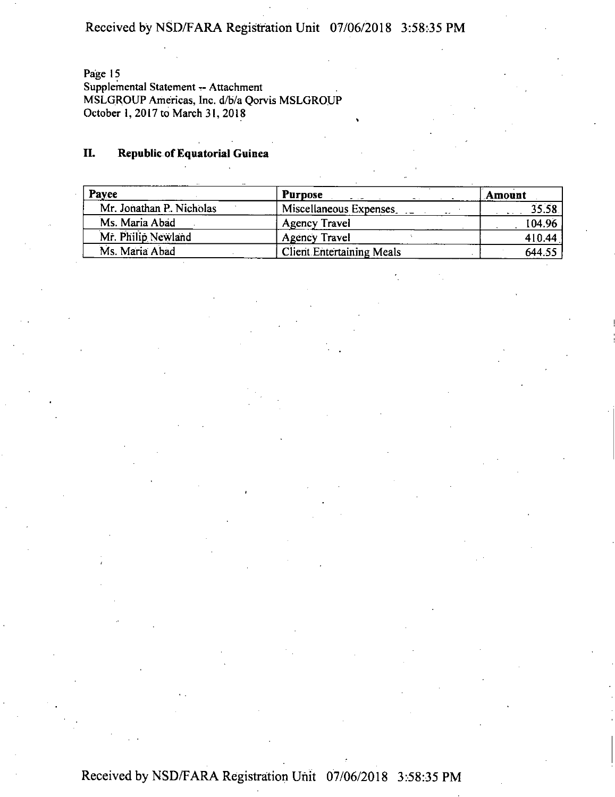Page 15

Supplemental Statement -- Attachment MSLGROUP Americas, Inc. d/b/a Qorvis MSLGROUP October 1, 2017 to March 31, 2018

### **II. Republic of Equatorial Guinea**

| Payee                    | <b>Purpose</b>                   | Amount |
|--------------------------|----------------------------------|--------|
| Mr. Jonathan P. Nicholas | Miscellaneous Expenses           | 35.58  |
| Ms. Maria Abad           | <b>Agency Travel</b>             | 104.96 |
| Mr. Philip Newland       | <b>Agency Travel</b>             | 410.44 |
| Ms. Maria Abad           | <b>Client Entertaining Meals</b> | 644.55 |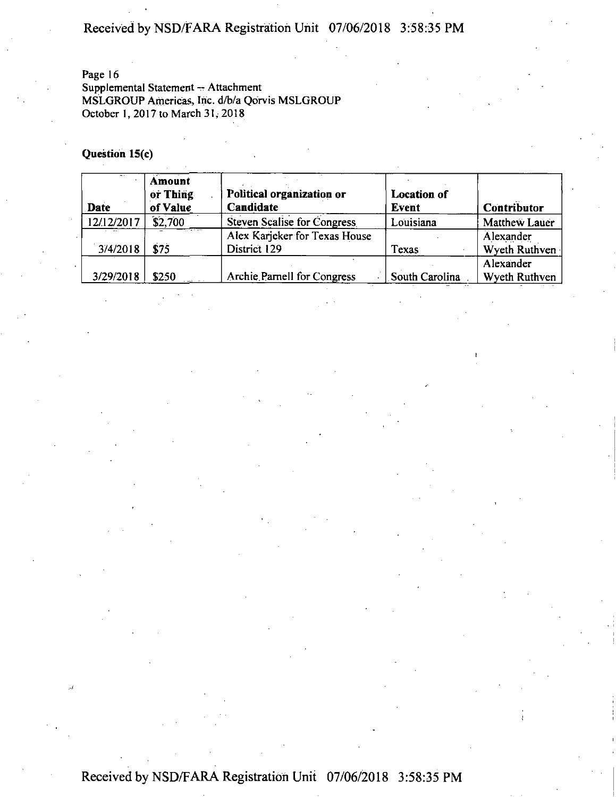### Page 16

Supplemental Statement -- Attachment MSLGROUP Americas, Inc. d/b/a Qorvis MSLGROUP October 1,2017 to March 31,2018

### **Question 15(c)**

| <b>Date</b> | Amount<br>or Thing<br>of Value | Political organization or<br>Candidate        | <b>Location of</b><br><b>Event</b> | Contributor                |
|-------------|--------------------------------|-----------------------------------------------|------------------------------------|----------------------------|
| 12/12/2017  | \$2,700                        | Steven Scalise for Congress                   | Louisiana                          | Matthew Lauer              |
| 3/4/2018    | \$75                           | Alex Karjeker for Texas House<br>District 129 | Texas                              | Alexander<br>Wyeth Ruthven |
| 3/29/2018   | \$250                          | Archie Parnell for Congress                   | South Carolina                     | Alexander<br>Wyeth Ruthven |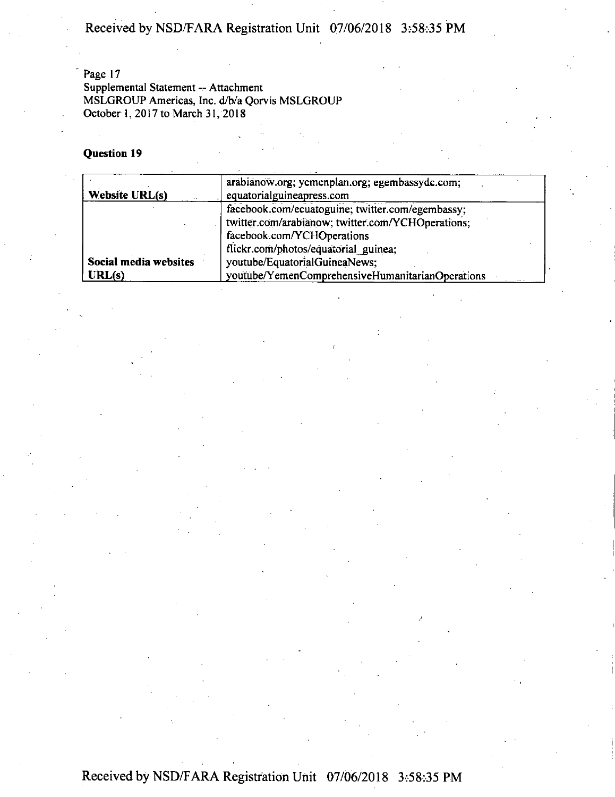Page 17 Supplemental Statement — Attachment MSLGROUP Americas, Inc. d/b/a Qorvis MSLGROUP October 1, 2017 to March 31, 2018

### **Question 19**

| <b>Website URL(s)</b> | arabianow.org; yemenplan.org; egembassydc.com;<br>equatorialguineapress.com                                                         |
|-----------------------|-------------------------------------------------------------------------------------------------------------------------------------|
|                       | facebook.com/ecuatoguine; twitter.com/egembassy;<br>twitter.com/arabianow; twitter.com/YCHOperations;<br>facebook.com/YCHOperations |
| Social media websites | flickr.com/photos/equatorial guinea;<br>youtube/EquatorialGuineaNews:                                                               |
| URL(s)                | youtube/YemenComprehensiveHumanitarianOperations                                                                                    |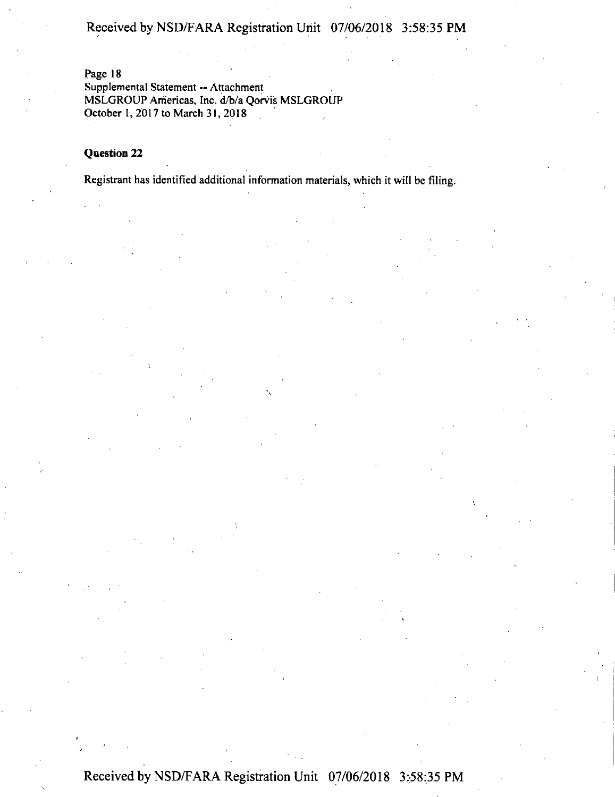Page 18

Supplemental Statement - Attachment MSLGROUP Americas, Inc. d/b/a Qorvis MSLGROUP October I, 2017 to March 31,2018

### Question 22

Registrant has identified additional information materials, which it will be filing.